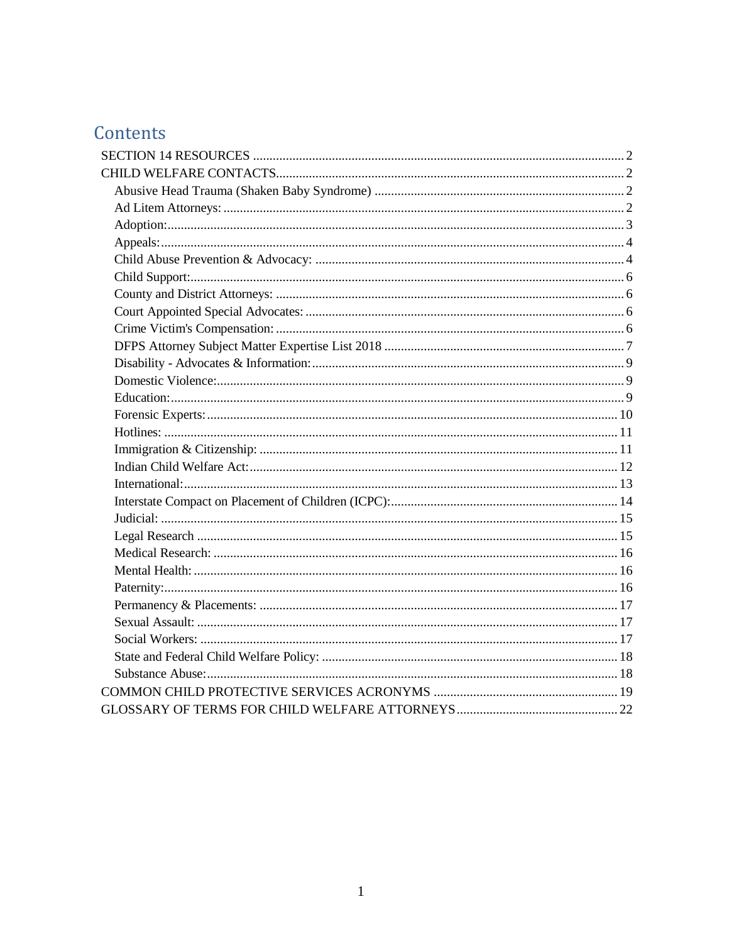# Contents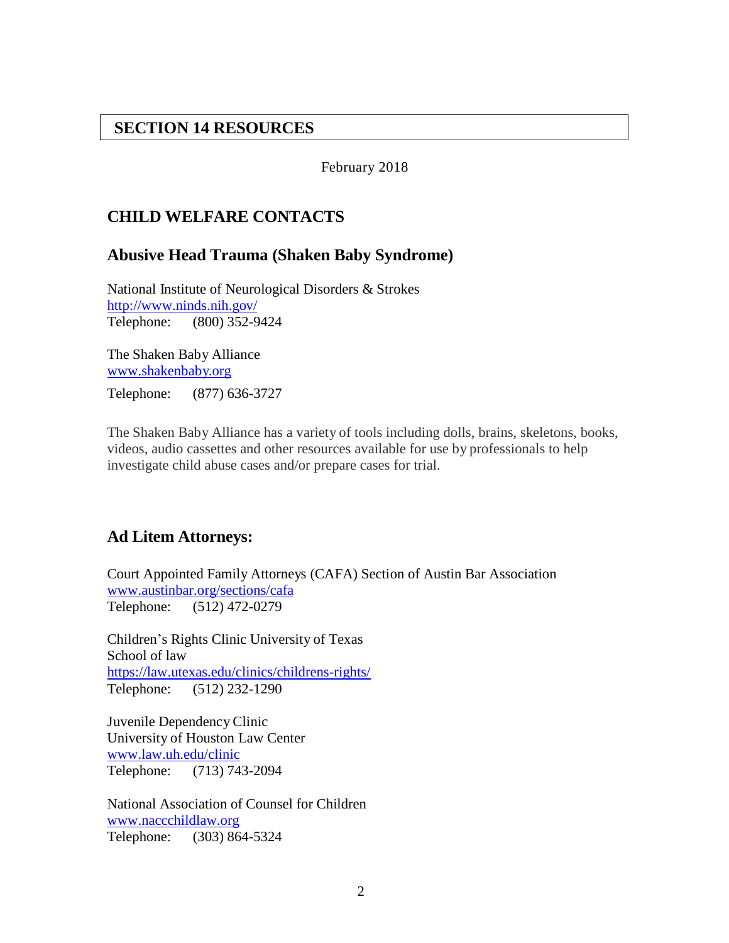### <span id="page-1-0"></span>**SECTION 14 RESOURCES**

February 2018

## <span id="page-1-1"></span>**CHILD WELFARE CONTACTS**

#### <span id="page-1-2"></span>**Abusive Head Trauma (Shaken Baby Syndrome)**

National Institute of Neurological Disorders & Strokes <http://www.ninds.nih.gov/> Telephone: (800) 352-9424

The Shaken Baby Alliance [www.shakenbaby.org](http://www.shakenbaby.org/) Telephone: (877) 636-3727

The Shaken Baby Alliance has a variety of tools including dolls, brains, skeletons, books, videos, audio cassettes and other resources available for use by professionals to help investigate child abuse cases and/or prepare cases for trial.

#### <span id="page-1-3"></span>**Ad Litem Attorneys:**

Court Appointed Family Attorneys (CAFA) Section of Austin Bar Association [www.austinbar.org/sections/cafa](http://www.austinbar.org/sections/cafa) Telephone: (512) 472-0279

Children's Rights Clinic University of Texas School of law <https://law.utexas.edu/clinics/childrens-rights/> Telephone: (512) 232-1290

Juvenile Dependency Clinic University of Houston Law Center [www.law.uh.edu/clinic](http://www.law.uh.edu/clinic) Telephone: (713) 743-2094

National Association of Counsel for Children [www.naccchildlaw.org](http://www.naccchildlaw.org/) Telephone: (303) 864-5324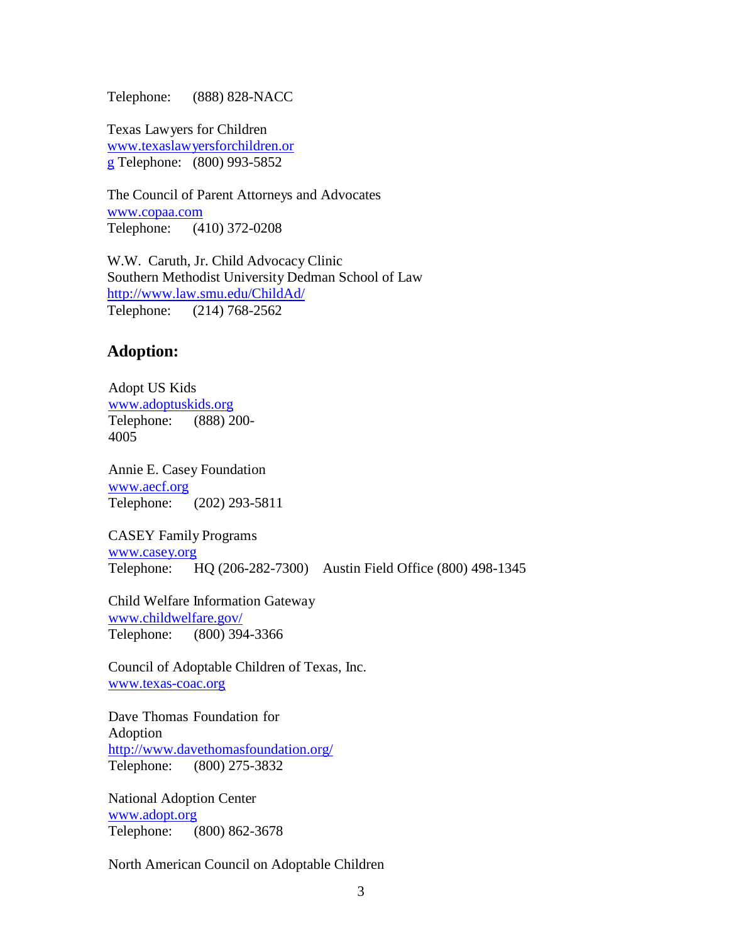Telephone: (888) 828-NACC

Texas Lawyers for Children [www.texaslawyersforchildren.or](http://www.texaslawyersforchildren.org/) [g](http://www.texaslawyersforchildren.org/) Telephone: (800) 993-5852

The Council of Parent Attorneys and Advocates [www.copaa.com](http://www.copaa.com/) Telephone: (410) 372-0208

W.W. Caruth, Jr. Child Advocacy Clinic Southern Methodist University Dedman School of Law <http://www.law.smu.edu/ChildAd/> Telephone: (214) 768-2562

#### <span id="page-2-0"></span>**Adoption:**

Adopt US Kids [www.adoptuskids.org](http://www.adoptuskids.org/) Telephone: (888) 200- 4005

Annie E. Casey Foundation [www.aecf.org](http://www.aecf.org/) Telephone: (202) 293-5811

CASEY Family Programs [www.casey.org](http://www.casey.org/) Telephone: HQ (206-282-7300) Austin Field Office (800) 498-1345

Child Welfare Information Gateway [www.childwelfare.gov/](http://www.childwelfare.gov/) Telephone: (800) 394-3366

Council of Adoptable Children of Texas, Inc. [www.texas-coac.org](http://www.texas-coac.org/)

Dave Thomas Foundation for Adoption <http://www.davethomasfoundation.org/> Telephone: (800) 275-3832

National Adoption Center [www.adopt.org](http://www.adopt.org/) Telephone: (800) 862-3678

North American Council on Adoptable Children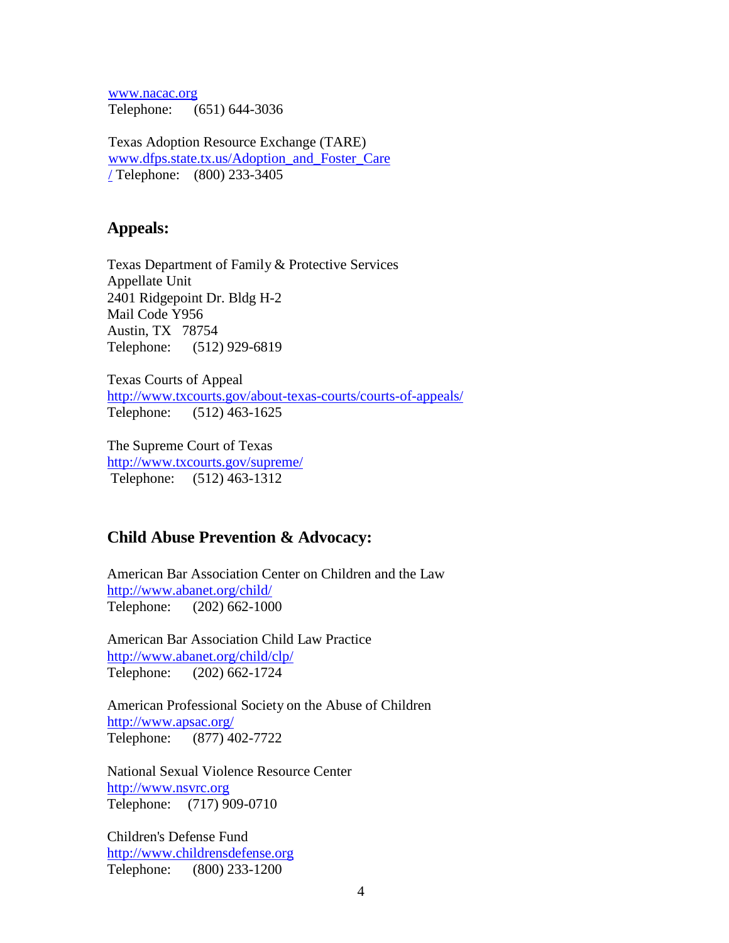[www.nacac.org](http://www.nacac.org/) Telephone: (651) 644-3036

Texas Adoption Resource Exchange (TARE) [www.dfps.state.tx.us/Adoption\\_and\\_Foster\\_Care](http://www.dfps.state.tx.us/Adoption_and_Foster_Care/) [/](http://www.dfps.state.tx.us/Adoption_and_Foster_Care/) Telephone: (800) 233-3405

#### <span id="page-3-0"></span>**Appeals:**

Texas Department of Family & Protective Services Appellate Unit 2401 Ridgepoint Dr. Bldg H-2 Mail Code Y956 Austin, TX 78754 Telephone: (512) 929-6819

Texas Courts of Appeal <http://www.txcourts.gov/about-texas-courts/courts-of-appeals/> Telephone: (512) 463-1625

The Supreme Court of Texas <http://www.txcourts.gov/supreme/> Telephone: (512) 463-1312

#### <span id="page-3-1"></span>**Child Abuse Prevention & Advocacy:**

American Bar Association Center on Children and the Law <http://www.abanet.org/child/> Telephone: (202) 662-1000

American Bar Association Child Law Practice <http://www.abanet.org/child/clp/> Telephone: (202) 662-1724

American Professional Society on the Abuse of Children <http://www.apsac.org/> Telephone: (877) 402-7722

National Sexual Violence Resource Center [http://www.nsvrc.org](http://www.nsvrc.org/) Telephone: (717) 909-0710

Children's Defense Fund [http://www.childrensdefense.org](http://www.childrensdefense.org/) Telephone: (800) 233-1200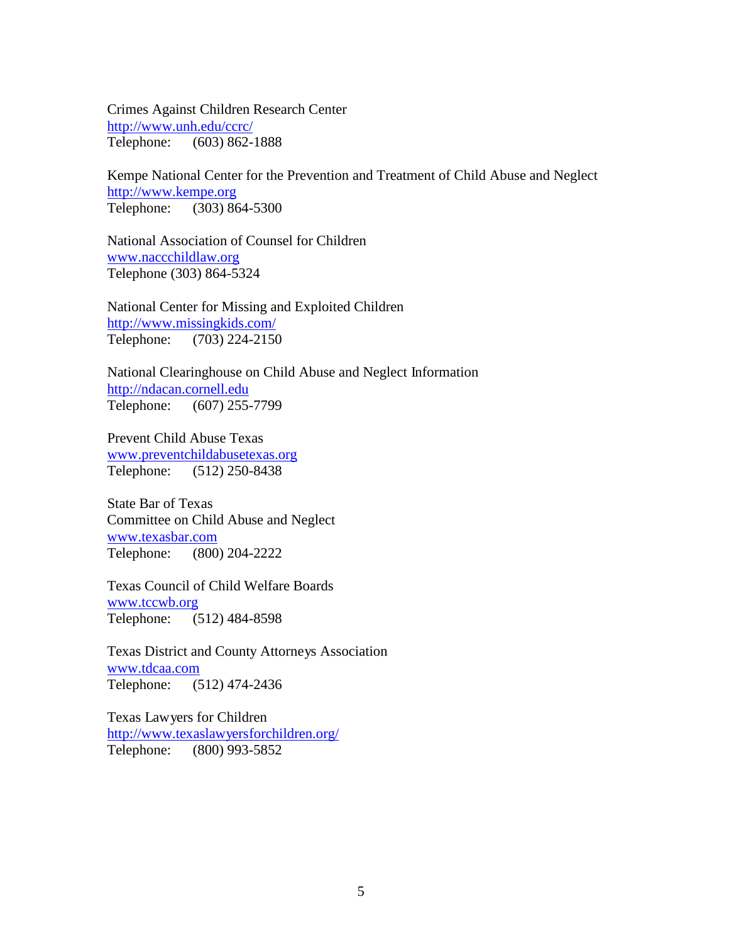Crimes Against Children Research Center <http://www.unh.edu/ccrc/> Telephone: (603) 862-1888

Kempe National Center for the Prevention and Treatment of Child Abuse and Neglect [http://www.kempe.org](http://www.kempe.org/) Telephone: (303) 864-5300

National Association of Counsel for Children [www.naccchildlaw.org](http://www.naccchildlaw.org/) Telephone (303) 864-5324

National Center for Missing and Exploited Children <http://www.missingkids.com/> Telephone: (703) 224-2150

National Clearinghouse on Child Abuse and Neglect Information [http://ndacan.cornell.edu](http://ndacan.cornell.edu/) Telephone: (607) 255-7799

Prevent Child Abuse Texas [www.preventchildabusetexas.org](http://www.preventchildabusetexas.org/) Telephone: (512) 250-8438

State Bar of Texas Committee on Child Abuse and Neglect [www.texasbar.com](http://www.texasbar.com/) Telephone: (800) 204-2222

Texas Council of Child Welfare Boards [www.tccwb.org](http://www.tccwb.org/) Telephone: (512) 484-8598

Texas District and County Attorneys Association [www.tdcaa.com](http://www.tdcaa.com/) Telephone: (512) 474-2436

Texas Lawyers for Children <http://www.texaslawyersforchildren.org/> Telephone: (800) 993-5852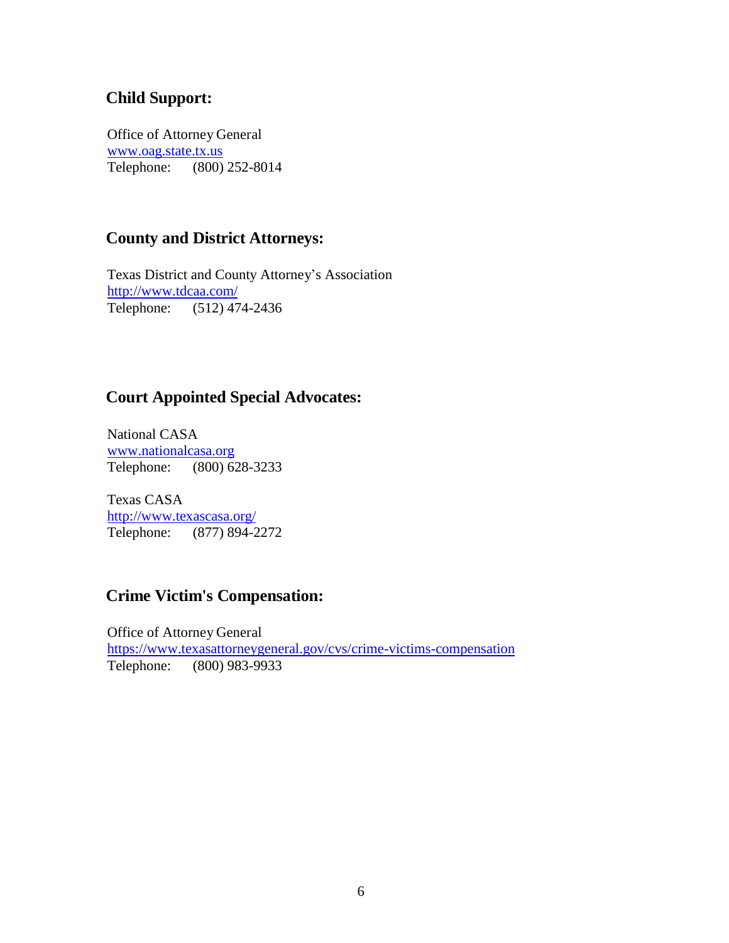## <span id="page-5-0"></span>**Child Support:**

Office of Attorney General [www.oag.state.tx.us](http://www.oag.state.tx.us/) Telephone: (800) 252-8014

# <span id="page-5-1"></span>**County and District Attorneys:**

Texas District and County Attorney's Association <http://www.tdcaa.com/> Telephone: (512) 474-2436

## <span id="page-5-2"></span>**Court Appointed Special Advocates:**

National CASA [www.nationalcasa.org](http://www.nationalcasa.org/) Telephone: (800) 628-3233

Texas CASA <http://www.texascasa.org/> Telephone: (877) 894-2272

## <span id="page-5-3"></span>**Crime Victim's Compensation:**

Office of Attorney General <https://www.texasattorneygeneral.gov/cvs/crime-victims-compensation> Telephone: (800) 983-9933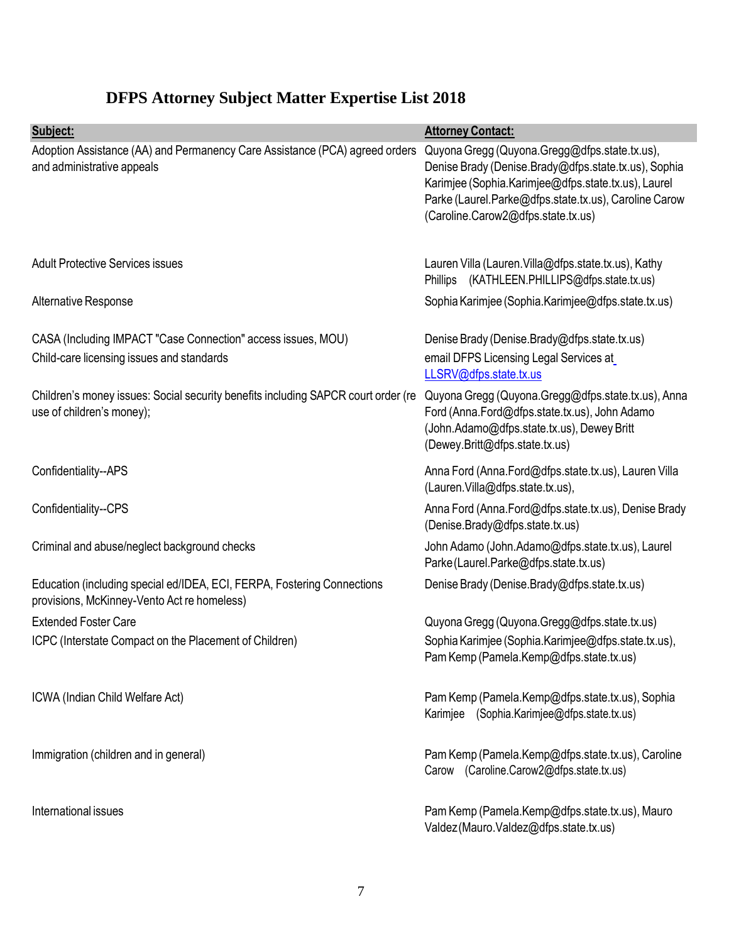# <span id="page-6-0"></span>**DFPS Attorney Subject Matter Expertise List 2018**

| Subject:                                                                                                               | <b>Attorney Contact:</b>                                                                                                                                                                                                                                    |
|------------------------------------------------------------------------------------------------------------------------|-------------------------------------------------------------------------------------------------------------------------------------------------------------------------------------------------------------------------------------------------------------|
| Adoption Assistance (AA) and Permanency Care Assistance (PCA) agreed orders<br>and administrative appeals              | Quyona Gregg (Quyona.Gregg@dfps.state.tx.us),<br>Denise Brady (Denise.Brady@dfps.state.tx.us), Sophia<br>Karimjee (Sophia.Karimjee@dfps.state.tx.us), Laurel<br>Parke (Laurel.Parke@dfps.state.tx.us), Caroline Carow<br>(Caroline.Carow2@dfps.state.tx.us) |
| <b>Adult Protective Services issues</b>                                                                                | Lauren Villa (Lauren. Villa@dfps.state.tx.us), Kathy<br>(KATHLEEN.PHILLIPS@dfps.state.tx.us)<br><b>Phillips</b>                                                                                                                                             |
| Alternative Response                                                                                                   | Sophia Karimjee (Sophia.Karimjee@dfps.state.tx.us)                                                                                                                                                                                                          |
| CASA (Including IMPACT "Case Connection" access issues, MOU)<br>Child-care licensing issues and standards              | Denise Brady (Denise.Brady@dfps.state.tx.us)<br>email DFPS Licensing Legal Services at<br>LLSRV@dfps.state.tx.us                                                                                                                                            |
| Children's money issues: Social security benefits including SAPCR court order (re<br>use of children's money);         | Quyona Gregg (Quyona.Gregg@dfps.state.tx.us), Anna<br>Ford (Anna.Ford@dfps.state.tx.us), John Adamo<br>(John.Adamo@dfps.state.tx.us), Dewey Britt<br>(Dewey.Britt@dfps.state.tx.us)                                                                         |
| Confidentiality--APS                                                                                                   | Anna Ford (Anna.Ford@dfps.state.tx.us), Lauren Villa<br>(Lauren.Villa@dfps.state.tx.us),                                                                                                                                                                    |
| Confidentiality--CPS                                                                                                   | Anna Ford (Anna.Ford@dfps.state.tx.us), Denise Brady<br>(Denise.Brady@dfps.state.tx.us)                                                                                                                                                                     |
| Criminal and abuse/neglect background checks                                                                           | John Adamo (John.Adamo@dfps.state.tx.us), Laurel<br>Parke (Laurel.Parke@dfps.state.tx.us)                                                                                                                                                                   |
| Education (including special ed/IDEA, ECI, FERPA, Fostering Connections<br>provisions, McKinney-Vento Act re homeless) | Denise Brady (Denise.Brady@dfps.state.tx.us)                                                                                                                                                                                                                |
| <b>Extended Foster Care</b>                                                                                            | Quyona Gregg (Quyona.Gregg@dfps.state.tx.us)                                                                                                                                                                                                                |
| ICPC (Interstate Compact on the Placement of Children)                                                                 | Sophia Karimjee (Sophia.Karimjee@dfps.state.tx.us),<br>Pam Kemp (Pamela.Kemp@dfps.state.tx.us)                                                                                                                                                              |
| ICWA (Indian Child Welfare Act)                                                                                        | Pam Kemp (Pamela.Kemp@dfps.state.tx.us), Sophia<br>Karimjee (Sophia.Karimjee@dfps.state.tx.us)                                                                                                                                                              |
| Immigration (children and in general)                                                                                  | Pam Kemp (Pamela.Kemp@dfps.state.tx.us), Caroline<br>Carow (Caroline.Carow2@dfps.state.tx.us)                                                                                                                                                               |
| International issues                                                                                                   | Pam Kemp (Pamela.Kemp@dfps.state.tx.us), Mauro<br>Valdez (Mauro.Valdez@dfps.state.tx.us)                                                                                                                                                                    |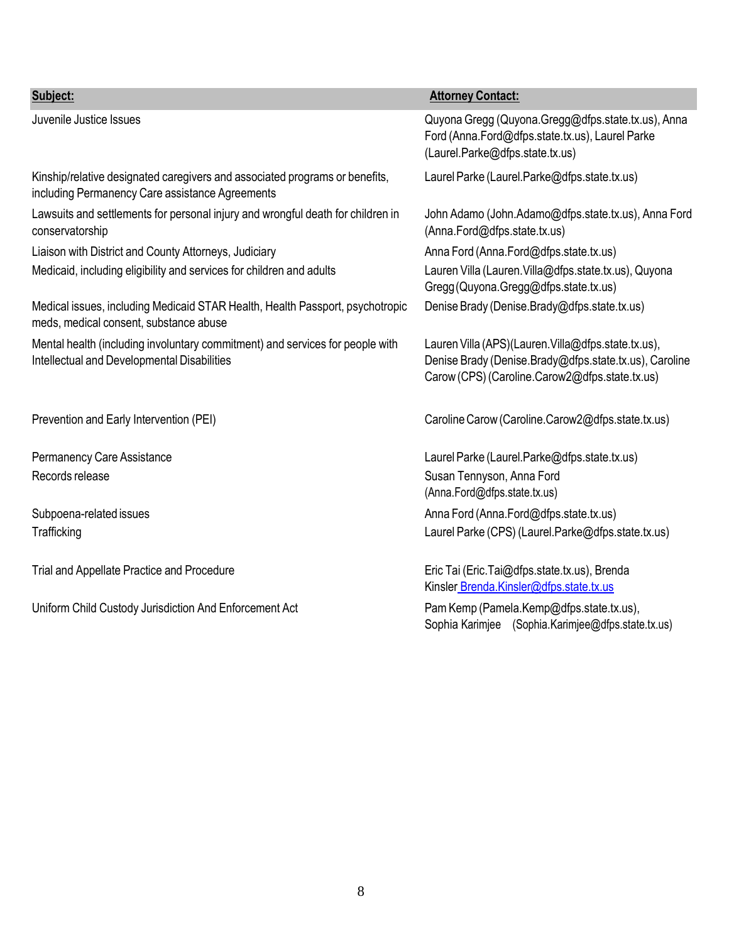| Subject:                                                                                                                       | <b>Attorney Contact:</b>                                                                                                                                        |
|--------------------------------------------------------------------------------------------------------------------------------|-----------------------------------------------------------------------------------------------------------------------------------------------------------------|
| Juvenile Justice Issues                                                                                                        | Quyona Gregg (Quyona.Gregg@dfps.state.tx.us), Anna<br>Ford (Anna.Ford@dfps.state.tx.us), Laurel Parke<br>(Laurel.Parke@dfps.state.tx.us)                        |
| Kinship/relative designated caregivers and associated programs or benefits,<br>including Permanency Care assistance Agreements | Laurel Parke (Laurel.Parke@dfps.state.tx.us)                                                                                                                    |
| Lawsuits and settlements for personal injury and wrongful death for children in<br>conservatorship                             | John Adamo (John.Adamo@dfps.state.tx.us), Anna Ford<br>(Anna.Ford@dfps.state.tx.us)                                                                             |
| Liaison with District and County Attorneys, Judiciary                                                                          | Anna Ford (Anna.Ford@dfps.state.tx.us)                                                                                                                          |
| Medicaid, including eligibility and services for children and adults                                                           | Lauren Villa (Lauren. Villa@dfps.state.tx.us), Quyona<br>Gregg (Quyona.Gregg@dfps.state.tx.us)                                                                  |
| Medical issues, including Medicaid STAR Health, Health Passport, psychotropic<br>meds, medical consent, substance abuse        | Denise Brady (Denise.Brady@dfps.state.tx.us)                                                                                                                    |
| Mental health (including involuntary commitment) and services for people with<br>Intellectual and Developmental Disabilities   | Lauren Villa (APS)(Lauren. Villa@dfps.state.tx.us),<br>Denise Brady (Denise.Brady@dfps.state.tx.us), Caroline<br>Carow (CPS) (Caroline.Carow2@dfps.state.tx.us) |
| Prevention and Early Intervention (PEI)                                                                                        | Caroline Carow (Caroline.Carow2@dfps.state.tx.us)                                                                                                               |
| Permanency Care Assistance                                                                                                     | Laurel Parke (Laurel.Parke@dfps.state.tx.us)                                                                                                                    |
| Records release                                                                                                                | Susan Tennyson, Anna Ford<br>(Anna.Ford@dfps.state.tx.us)                                                                                                       |
| Subpoena-related issues                                                                                                        | Anna Ford (Anna.Ford@dfps.state.tx.us)                                                                                                                          |
| Trafficking                                                                                                                    | Laurel Parke (CPS) (Laurel.Parke@dfps.state.tx.us)                                                                                                              |
| Trial and Appellate Practice and Procedure                                                                                     | Eric Tai (Eric.Tai@dfps.state.tx.us), Brenda<br>Kinsler Brenda.Kinsler@dfps.state.tx.us                                                                         |
| Uniform Child Custody Jurisdiction And Enforcement Act                                                                         | Pam Kemp (Pamela.Kemp@dfps.state.tx.us),<br>Sophia Karimjee (Sophia.Karimjee@dfps.state.tx.us)                                                                  |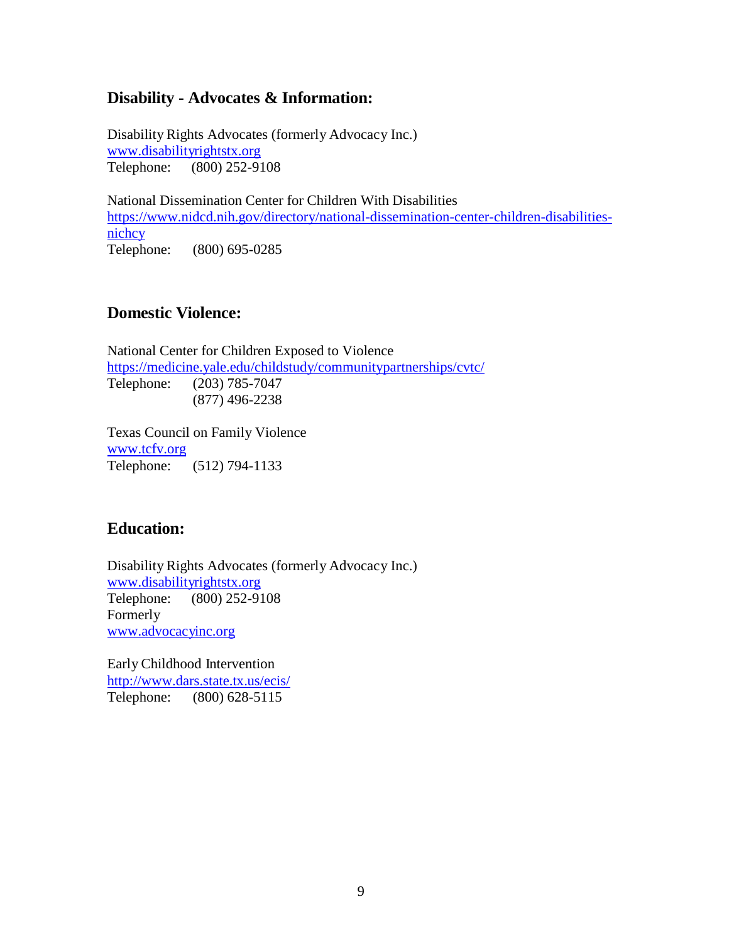#### <span id="page-8-0"></span>**Disability - Advocates & Information:**

Disability Rights Advocates (formerly Advocacy Inc.) [www.disabilityrightstx.org](http://www.disabilityrightstx.org/) Telephone: (800) 252-9108

National Dissemination Center for Children With Disabilities [https://www.nidcd.nih.gov/directory/national-dissemination-center-children-disabilities](https://www.nidcd.nih.gov/directory/national-dissemination-center-children-disabilities-nichcy)[nichcy](https://www.nidcd.nih.gov/directory/national-dissemination-center-children-disabilities-nichcy) Telephone: (800) 695-0285

#### <span id="page-8-1"></span>**Domestic Violence:**

National Center for Children Exposed to Violence <https://medicine.yale.edu/childstudy/communitypartnerships/cvtc/> Telephone: (203) 785-7047 (877) 496-2238

Texas Council on Family Violence [www.tcfv.org](http://www.tcfv.org/) Telephone: (512) 794-1133

#### <span id="page-8-2"></span>**Education:**

Disability Rights Advocates (formerly Advocacy Inc.) [www.disabilityrightstx.org](http://www.disabilityrightstx.org/) Telephone: (800) 252-9108 Formerly [www.advocacyinc.org](http://www.advocacyinc.org/)

Early Childhood Intervention <http://www.dars.state.tx.us/ecis/> Telephone: (800) 628-5115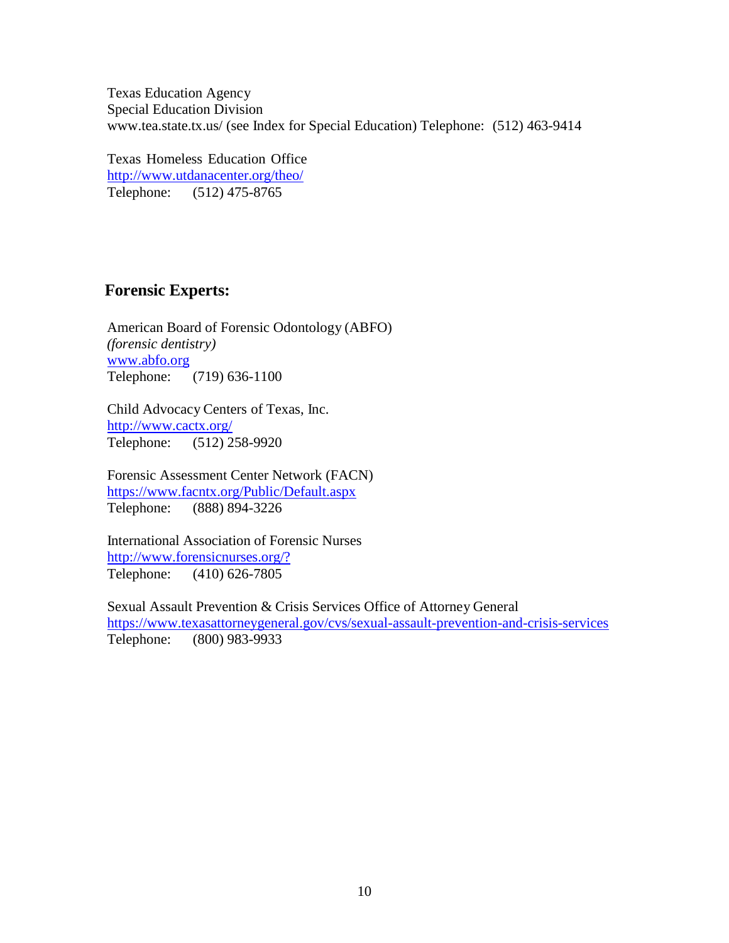Texas Education Agency Special Education Division [www.tea.state.](http://www.tea.state.tx.us/)tx.us/ (see Index for Special Education) Telephone: (512) 463-9414

Texas Homeless Education Office <http://www.utdanacenter.org/theo/> Telephone: (512) 475-8765

## <span id="page-9-0"></span>**Forensic Experts:**

American Board of Forensic Odontology (ABFO) *(forensic dentistry)* [www.abfo.org](http://www.abfo.org/) Telephone: (719) 636-1100

Child Advocacy Centers of Texas, Inc. <http://www.cactx.org/> Telephone: (512) 258-9920

Forensic Assessment Center Network (FACN) <https://www.facntx.org/Public/Default.aspx> Telephone: (888) 894-3226

International Association of Forensic Nurses [http://www.forensicnurses.org/?](http://www.forensicnurses.org/) Telephone: (410) 626-7805

Sexual Assault Prevention & Crisis Services Office of Attorney General <https://www.texasattorneygeneral.gov/cvs/sexual-assault-prevention-and-crisis-services> Telephone: (800) 983-9933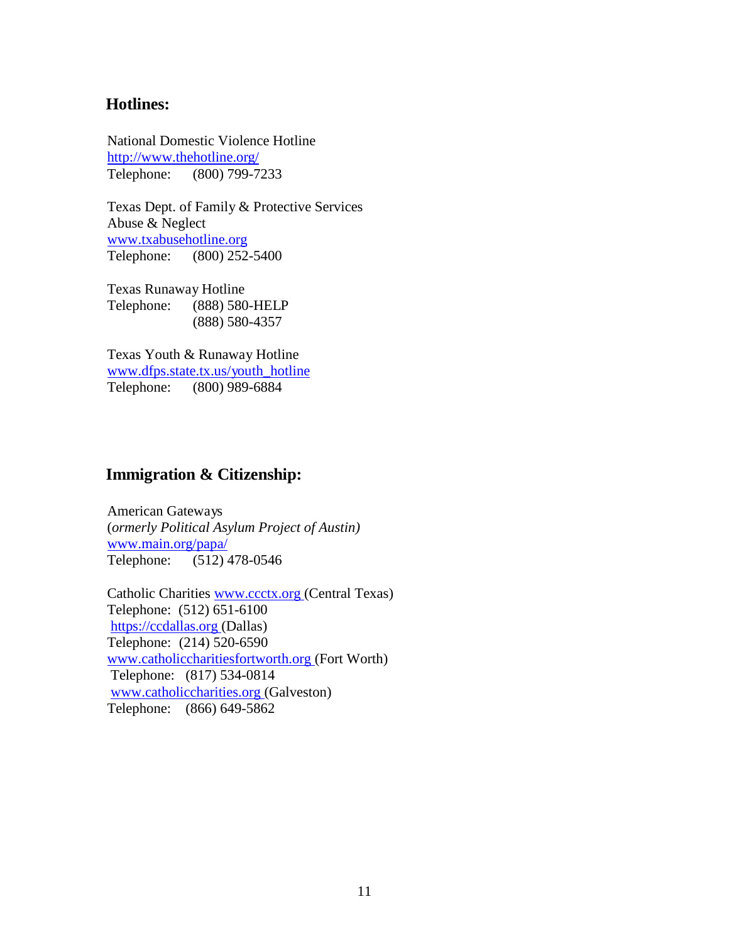#### <span id="page-10-0"></span>**Hotlines:**

National Domestic Violence Hotline <http://www.thehotline.org/> Telephone: (800) 799-7233

Texas Dept. of Family & Protective Services Abuse & Neglect [www.txabusehotline.org](http://www.txabusehotline.org/) Telephone: (800) 252-5400

Texas Runaway Hotline Telephone: (888) 580-HELP (888) 580-4357

Texas Youth & Runaway Hotline [www.dfps.state.tx.us/youth\\_hotline](http://www.dfps.state.tx.us/youth_hotline) Telephone: (800) 989-6884

#### <span id="page-10-1"></span>**Immigration & Citizenship:**

American Gateways (*ormerly Political Asylum Project of Austin)* [www.main.org/papa/](http://www.main.org/papa/) Telephone: (512) 478-0546

Catholic Charities [www.ccctx.org](http://www.ccctx.org/) (Central Texas) Telephone: (512) 651-6100 [https://ccdallas.org](https://ccdallas.org/) (Dallas) Telephone: (214) 520-6590 [www.catholiccharitiesfortworth.org \(](http://www.catholiccharitiesfortworth.org/)Fort Worth) Telephone: (817) 534-0814 [www.catholiccharities.org \(](http://www.catholiccharities.org/)Galveston) Telephone: (866) 649-5862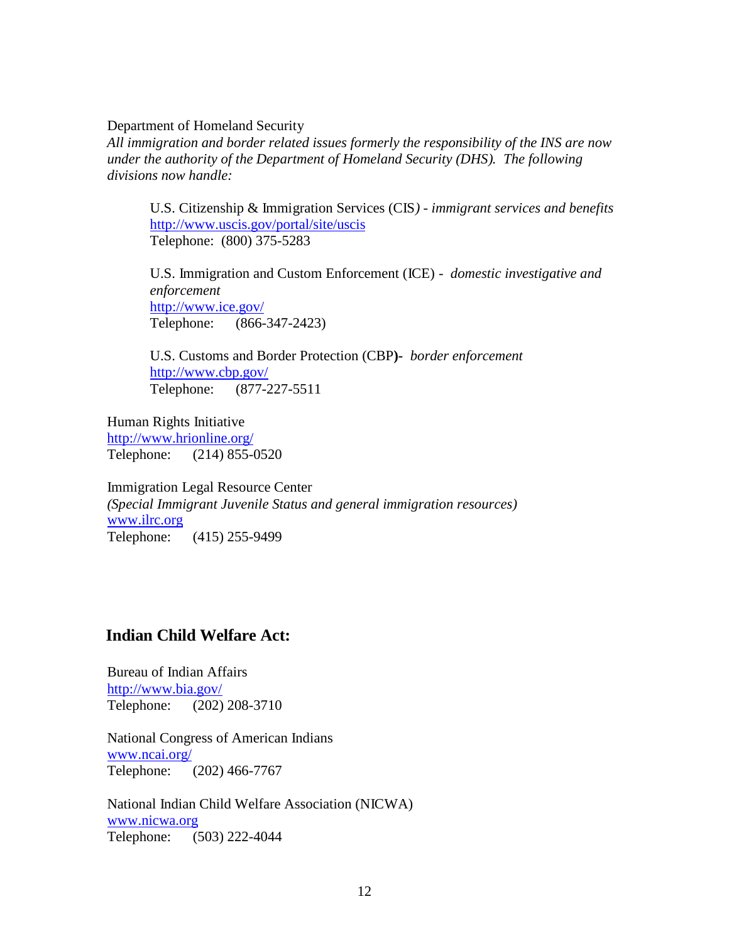Department of Homeland Security

*All immigration and border related issues formerly the responsibility of the INS are now under the authority of the Department of Homeland Security (DHS). The following divisions now handle:*

U.S. Citizenship & Immigration Services (CIS*) - immigrant services and benefits* <http://www.uscis.gov/portal/site/uscis> Telephone: (800) 375-5283

U.S. Immigration and Custom Enforcement (ICE) *- domestic investigative and enforcement* <http://www.ice.gov/> Telephone: (866-347-2423)

U.S. Customs and Border Protection (CBP**)***- border enforcement* <http://www.cbp.gov/> Telephone: (877-227-5511

Human Rights Initiative <http://www.hrionline.org/> Telephone: (214) 855-0520

Immigration Legal Resource Center *(Special Immigrant Juvenile Status and general immigration resources)* [www.ilrc.org](http://www.ilrc.org/) Telephone: (415) 255-9499

#### <span id="page-11-0"></span>**Indian Child Welfare Act:**

Bureau of Indian Affairs <http://www.bia.gov/> Telephone: (202) 208-3710

National Congress of American Indians [www.ncai.org/](http://www.ncai.org/) Telephone: (202) 466-7767

National Indian Child Welfare Association (NICWA) [www.nicwa.org](http://www.nicwa.org/) Telephone: (503) 222-4044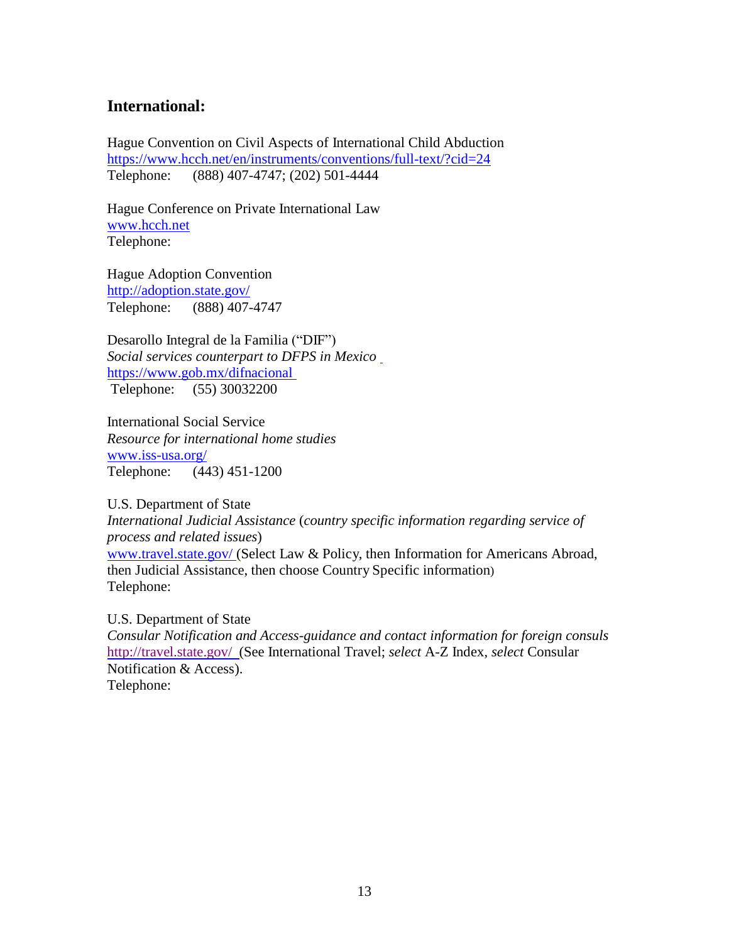### <span id="page-12-0"></span>**International:**

Hague Convention on Civil Aspects of International Child Abduction <https://www.hcch.net/en/instruments/conventions/full-text/?cid=24> Telephone: (888) 407-4747; (202) 501-4444

Hague Conference on Private International Law [www.hcch.net](http://www.hcch.net/) Telephone:

Hague Adoption Convention <http://adoption.state.gov/> Telephone: (888) 407-4747

Desarollo Integral de la Familia ("DIF") *Social services counterpart to DFPS in Mexico* <https://www.gob.mx/difnacional> Telephone: (55) 30032200

International Social Service *Resource for international home studies* [www.iss-usa.org/](http://www.iss-usa.org/) Telephone: (443) 451-1200

U.S. Department of State *International Judicial Assistance* (*country specific information regarding service of process and related issues*) [www.travel.state.gov/ \(](http://www.travel.state.gov/)Select Law & Policy, then Information for Americans Abroad, then Judicial Assistance, then choose Country Specific information) Telephone:

U.S. Department of State

*Consular Notification and Access-guidance and contact information for foreign consuls*  [http://travel.state.gov/ \(](http://travel.state.gov/)See International Travel; *select* A-Z Index, *select* Consular Notification & Access). Telephone: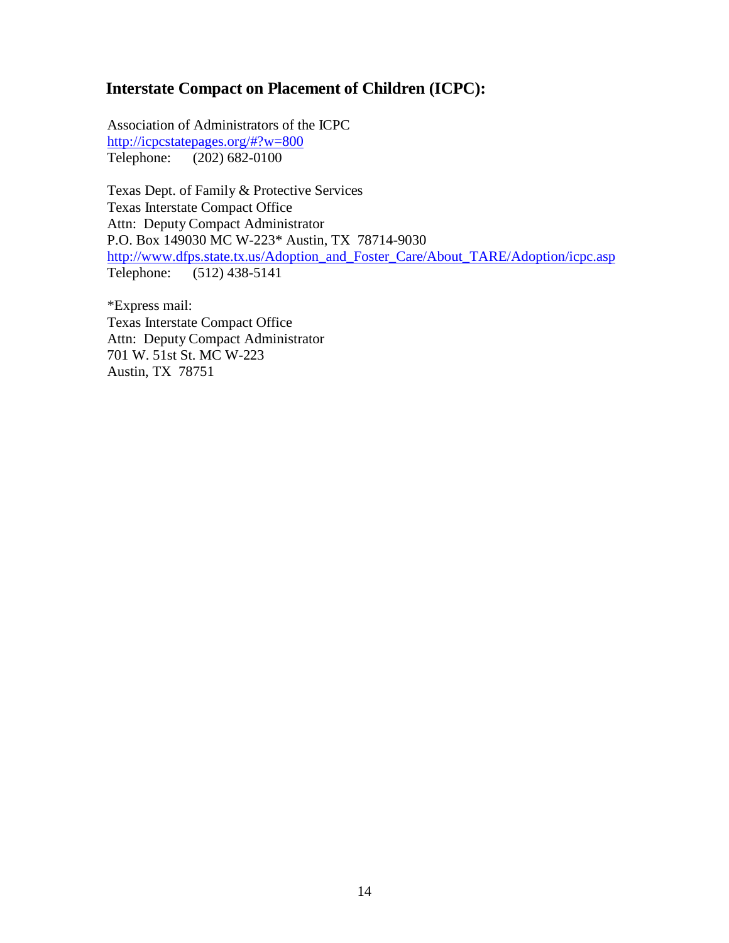# <span id="page-13-0"></span>**Interstate Compact on Placement of Children (ICPC):**

Association of Administrators of the ICPC <http://icpcstatepages.org/#?w=800> Telephone: (202) 682-0100

Texas Dept. of Family & Protective Services Texas Interstate Compact Office Attn: Deputy Compact Administrator P.O. Box 149030 MC W-223\* Austin, TX 78714-9030 [http://www.dfps.state.tx.us/Adoption\\_and\\_Foster\\_Care/About\\_TARE/Adoption/icpc.asp](http://www.dfps.state.tx.us/Adoption_and_Foster_Care/About_TARE/Adoption/icpc.asp) Telephone: (512) 438-5141

\*Express mail: Texas Interstate Compact Office Attn: Deputy Compact Administrator 701 W. 51st St. MC W-223 Austin, TX 78751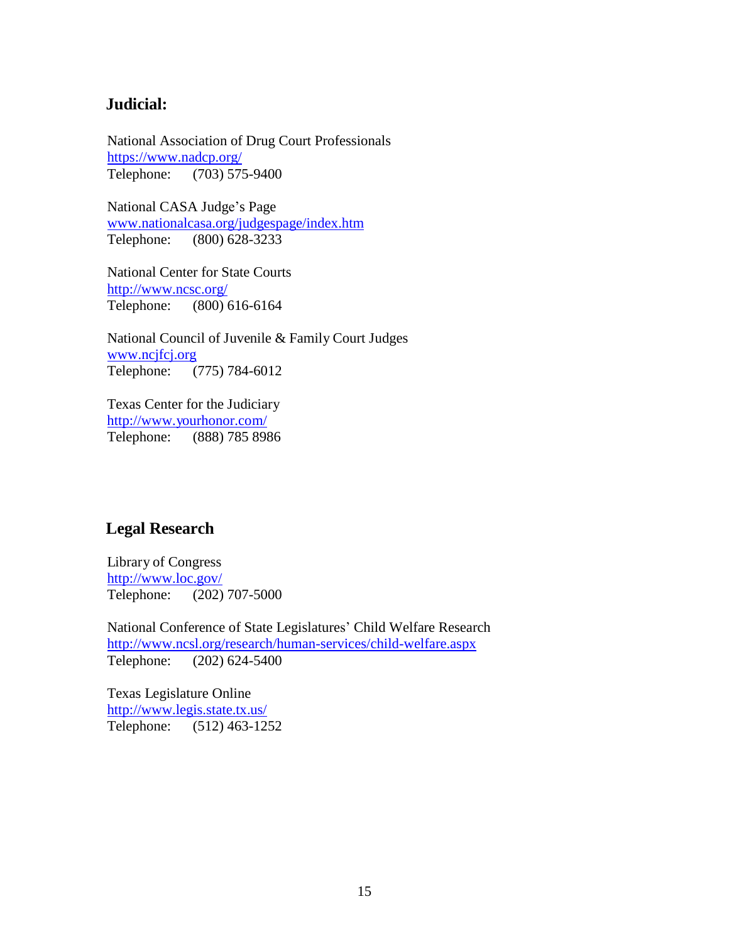#### <span id="page-14-0"></span>**Judicial:**

National Association of Drug Court Professionals <https://www.nadcp.org/> Telephone: (703) 575-9400

National CASA Judge's Page [www.nationalcasa.org/judgespage/index.htm](http://www.nationalcasa.org/judgespage/index.htm) Telephone: (800) 628-3233

National Center for State Courts <http://www.ncsc.org/> Telephone: (800) 616-6164

National Council of Juvenile & Family Court Judges [www.ncjfcj.org](http://www.ncjfcj.org/) Telephone: (775) 784-6012

Texas Center for the Judiciary <http://www.yourhonor.com/> Telephone: (888) 785 8986

## <span id="page-14-1"></span>**Legal Research**

Library of Congress <http://www.loc.gov/> Telephone: (202) 707-5000

National Conference of State Legislatures' Child Welfare Research <http://www.ncsl.org/research/human-services/child-welfare.aspx> Telephone: (202) 624-5400

Texas Legislature Online <http://www.legis.state.tx.us/> Telephone: (512) 463-1252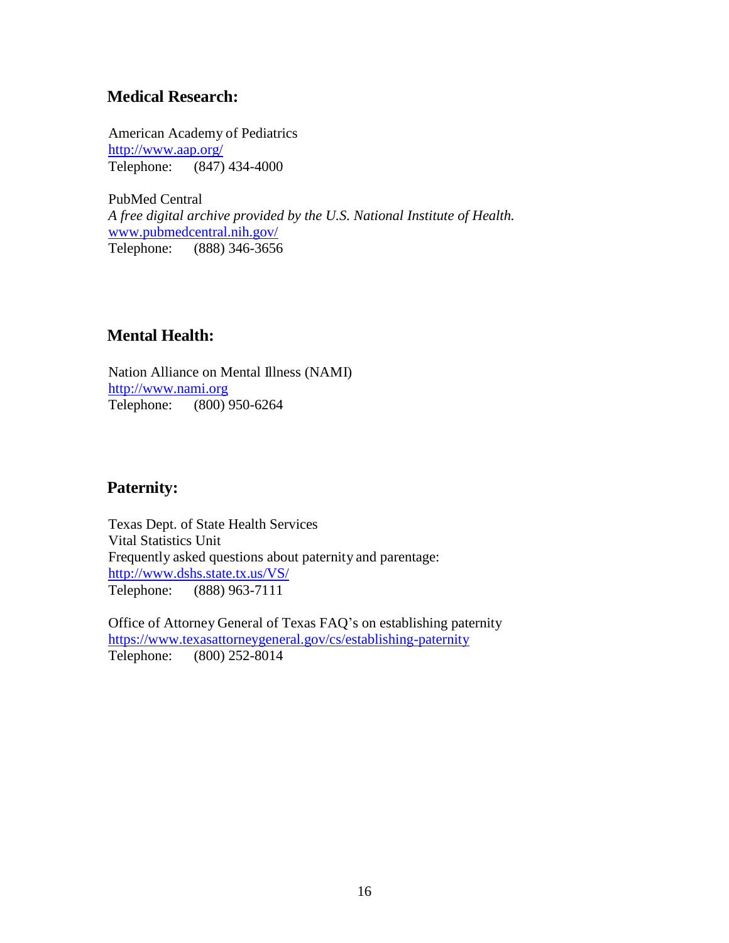## <span id="page-15-0"></span>**Medical Research:**

American Academy of Pediatrics <http://www.aap.org/> Telephone: (847) 434-4000

PubMed Central *A free digital archive provided by the U.S. National Institute of Health.* [www.pubmedcentral.nih.gov/](http://www.pubmedcentral.nih.gov/) Telephone: (888) 346-3656

# <span id="page-15-1"></span>**Mental Health:**

Nation Alliance on Mental Illness (NAMI) [http://www.nami.org](http://www.nami.org/) Telephone: (800) 950-6264

## <span id="page-15-2"></span>**Paternity:**

Texas Dept. of State Health Services Vital Statistics Unit Frequently asked questions about paternity and parentage: <http://www.dshs.state.tx.us/VS/> Telephone: (888) 963-7111

Office of Attorney General of Texas FAQ's on establishing paternity <https://www.texasattorneygeneral.gov/cs/establishing-paternity> Telephone: (800) 252-8014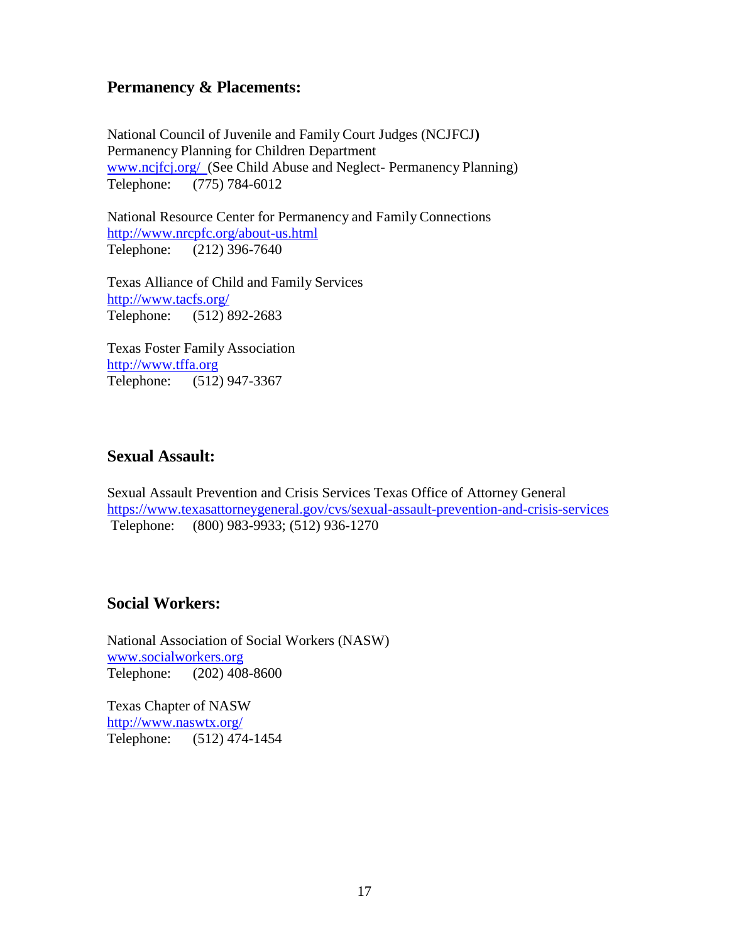## <span id="page-16-0"></span>**Permanency & Placements:**

National Council of Juvenile and Family Court Judges (NCJFCJ**)** Permanency Planning for Children Department [www.ncjfcj.org/ \(](http://www.ncjfcj.org/)See Child Abuse and Neglect- Permanency Planning) Telephone: (775) 784-6012

National Resource Center for Permanency and Family Connections <http://www.nrcpfc.org/about-us.html> Telephone: (212) 396-7640

Texas Alliance of Child and Family Services <http://www.tacfs.org/> Telephone: (512) 892-2683

Texas Foster Family Association [http://www.tffa.org](http://www.tffa.org/) Telephone: (512) 947-3367

## <span id="page-16-1"></span>**Sexual Assault:**

Sexual Assault Prevention and Crisis Services Texas Office of Attorney General <https://www.texasattorneygeneral.gov/cvs/sexual-assault-prevention-and-crisis-services> Telephone: (800) 983-9933; (512) 936-1270

## <span id="page-16-2"></span>**Social Workers:**

National Association of Social Workers (NASW) [www.socialworkers.org](http://www.socialworkers.org/) Telephone: (202) 408-8600

Texas Chapter of NASW <http://www.naswtx.org/> Telephone: (512) 474-1454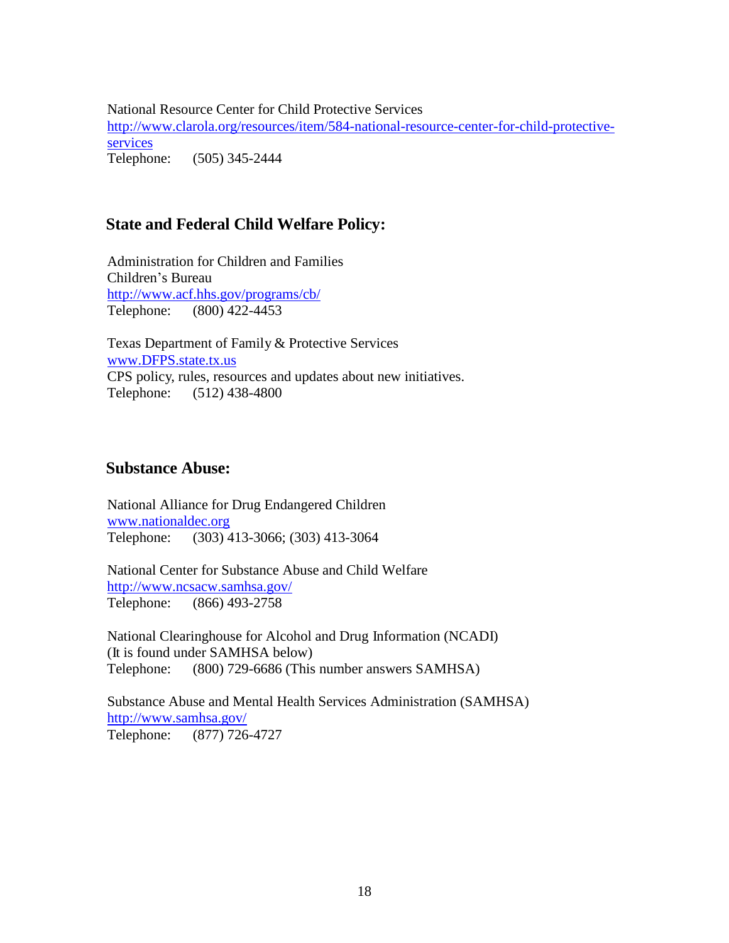National Resource Center for Child Protective Services [http://www.clarola.org/resources/item/584-national-resource-center-for-child-protective](http://www.clarola.org/resources/item/584-national-resource-center-for-child-protective-services)[services](http://www.clarola.org/resources/item/584-national-resource-center-for-child-protective-services)  Telephone: (505) 345-2444

## <span id="page-17-0"></span>**State and Federal Child Welfare Policy:**

Administration for Children and Families Children's Bureau <http://www.acf.hhs.gov/programs/cb/> Telephone: (800) 422-4453

Texas Department of Family & Protective Services [www.DFPS.state.tx.us](http://www.dfps.state.tx.us/) CPS policy, rules, resources and updates about new initiatives. Telephone: (512) 438-4800

#### <span id="page-17-1"></span>**Substance Abuse:**

National Alliance for Drug Endangered Children [www.nationaldec.org](http://www.nationaldec.org/) Telephone: (303) 413-3066; (303) 413-3064

National Center for Substance Abuse and Child Welfare <http://www.ncsacw.samhsa.gov/> Telephone: (866) 493-2758

National Clearinghouse for Alcohol and Drug Information (NCADI) (It is found under SAMHSA below) Telephone: (800) 729-6686 (This number answers SAMHSA)

Substance Abuse and Mental Health Services Administration (SAMHSA) <http://www.samhsa.gov/> Telephone: (877) 726-4727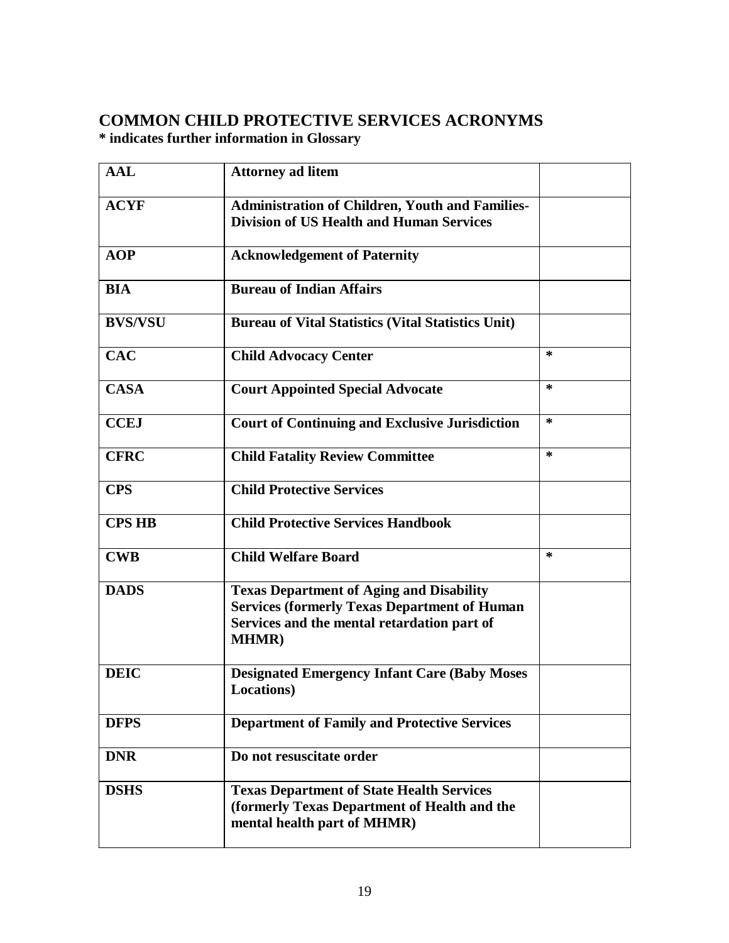# <span id="page-18-0"></span>**COMMON CHILD PROTECTIVE SERVICES ACRONYMS**

**\* indicates further information in Glossary**

| <b>AAL</b>     | <b>Attorney ad litem</b>                                                                                                                                              |        |
|----------------|-----------------------------------------------------------------------------------------------------------------------------------------------------------------------|--------|
| <b>ACYF</b>    | <b>Administration of Children, Youth and Families-</b><br><b>Division of US Health and Human Services</b>                                                             |        |
| <b>AOP</b>     | <b>Acknowledgement of Paternity</b>                                                                                                                                   |        |
| <b>BIA</b>     | <b>Bureau of Indian Affairs</b>                                                                                                                                       |        |
| <b>BVS/VSU</b> | <b>Bureau of Vital Statistics (Vital Statistics Unit)</b>                                                                                                             |        |
| <b>CAC</b>     | <b>Child Advocacy Center</b>                                                                                                                                          | $\ast$ |
| <b>CASA</b>    | <b>Court Appointed Special Advocate</b>                                                                                                                               | $\ast$ |
| <b>CCEJ</b>    | <b>Court of Continuing and Exclusive Jurisdiction</b>                                                                                                                 | $\ast$ |
| <b>CFRC</b>    | <b>Child Fatality Review Committee</b>                                                                                                                                | $\ast$ |
| <b>CPS</b>     | <b>Child Protective Services</b>                                                                                                                                      |        |
| <b>CPS HB</b>  | <b>Child Protective Services Handbook</b>                                                                                                                             |        |
| <b>CWB</b>     | <b>Child Welfare Board</b>                                                                                                                                            | $\ast$ |
| <b>DADS</b>    | <b>Texas Department of Aging and Disability</b><br><b>Services (formerly Texas Department of Human</b><br>Services and the mental retardation part of<br><b>MHMR)</b> |        |
| <b>DEIC</b>    | <b>Designated Emergency Infant Care (Baby Moses)</b><br><b>Locations</b> )                                                                                            |        |
| <b>DFPS</b>    | <b>Department of Family and Protective Services</b>                                                                                                                   |        |
| <b>DNR</b>     | Do not resuscitate order                                                                                                                                              |        |
| <b>DSHS</b>    | <b>Texas Department of State Health Services</b><br>(formerly Texas Department of Health and the<br>mental health part of MHMR)                                       |        |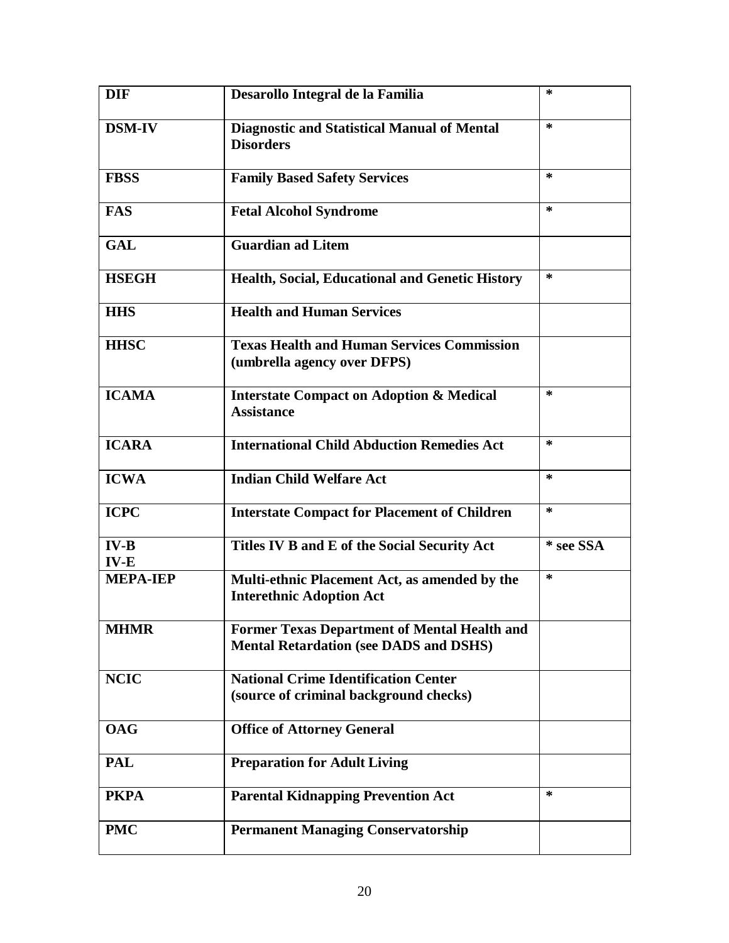| <b>DIF</b>       | Desarollo Integral de la Familia                                                                     | $\ast$    |
|------------------|------------------------------------------------------------------------------------------------------|-----------|
| <b>DSM-IV</b>    | <b>Diagnostic and Statistical Manual of Mental</b><br><b>Disorders</b>                               | $\ast$    |
| <b>FBSS</b>      | <b>Family Based Safety Services</b>                                                                  | ∗         |
| <b>FAS</b>       | <b>Fetal Alcohol Syndrome</b>                                                                        | $\ast$    |
| <b>GAL</b>       | <b>Guardian ad Litem</b>                                                                             |           |
| <b>HSEGH</b>     | <b>Health, Social, Educational and Genetic History</b>                                               | $\ast$    |
| <b>HHS</b>       | <b>Health and Human Services</b>                                                                     |           |
| <b>HHSC</b>      | <b>Texas Health and Human Services Commission</b><br>(umbrella agency over DFPS)                     |           |
| <b>ICAMA</b>     | <b>Interstate Compact on Adoption &amp; Medical</b><br><b>Assistance</b>                             | ∗         |
| <b>ICARA</b>     | <b>International Child Abduction Remedies Act</b>                                                    | $\ast$    |
| <b>ICWA</b>      | <b>Indian Child Welfare Act</b>                                                                      | ∗         |
| <b>ICPC</b>      | <b>Interstate Compact for Placement of Children</b>                                                  | $\ast$    |
| $IV-B$<br>$IV-E$ | Titles IV B and E of the Social Security Act                                                         | * see SSA |
| <b>MEPA-IEP</b>  | Multi-ethnic Placement Act, as amended by the<br><b>Interethnic Adoption Act</b>                     | $\ast$    |
| <b>MHMR</b>      | <b>Former Texas Department of Mental Health and</b><br><b>Mental Retardation (see DADS and DSHS)</b> |           |
| <b>NCIC</b>      | <b>National Crime Identification Center</b><br>(source of criminal background checks)                |           |
| <b>OAG</b>       | <b>Office of Attorney General</b>                                                                    |           |
| <b>PAL</b>       | <b>Preparation for Adult Living</b>                                                                  |           |
| <b>PKPA</b>      | <b>Parental Kidnapping Prevention Act</b>                                                            | $\ast$    |
| <b>PMC</b>       | <b>Permanent Managing Conservatorship</b>                                                            |           |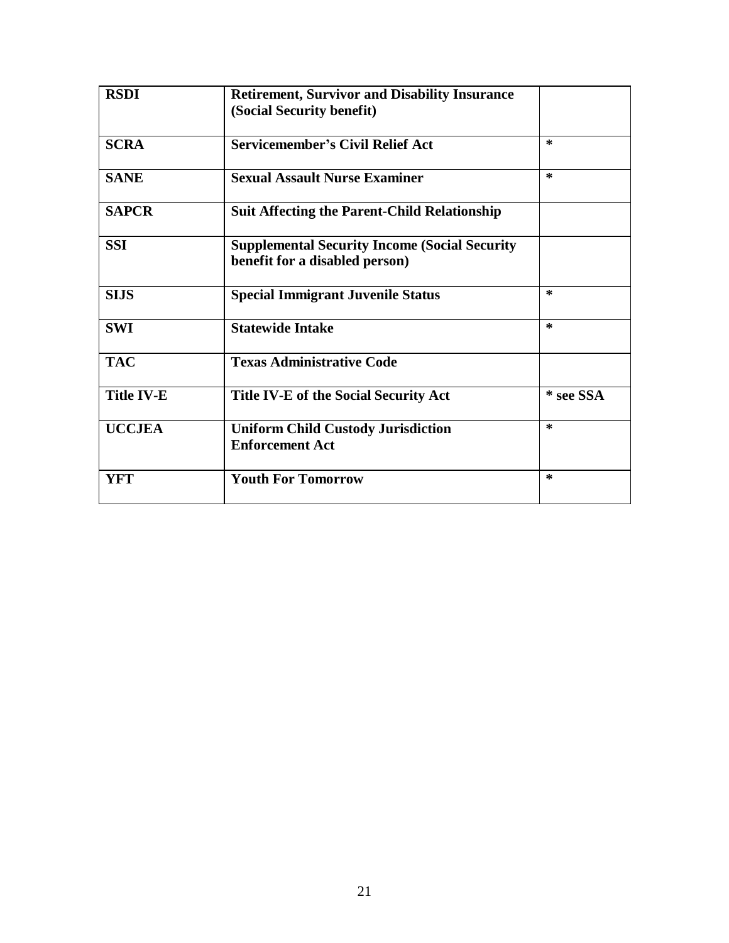| <b>RSDI</b>       | <b>Retirement, Survivor and Disability Insurance</b> |           |
|-------------------|------------------------------------------------------|-----------|
|                   | (Social Security benefit)                            |           |
| <b>SCRA</b>       | <b>Servicemember's Civil Relief Act</b>              | $\ast$    |
| <b>SANE</b>       | <b>Sexual Assault Nurse Examiner</b>                 | $\ast$    |
| <b>SAPCR</b>      | <b>Suit Affecting the Parent-Child Relationship</b>  |           |
| <b>SSI</b>        | <b>Supplemental Security Income (Social Security</b> |           |
|                   | benefit for a disabled person)                       |           |
| <b>SIJS</b>       | <b>Special Immigrant Juvenile Status</b>             | $\ast$    |
| <b>SWI</b>        | <b>Statewide Intake</b>                              | $\star$   |
| <b>TAC</b>        | <b>Texas Administrative Code</b>                     |           |
| <b>Title IV-E</b> | Title IV-E of the Social Security Act                | * see SSA |
| <b>UCCJEA</b>     | <b>Uniform Child Custody Jurisdiction</b>            | $\ast$    |
|                   | <b>Enforcement Act</b>                               |           |
| <b>YFT</b>        | <b>Youth For Tomorrow</b>                            | $\ast$    |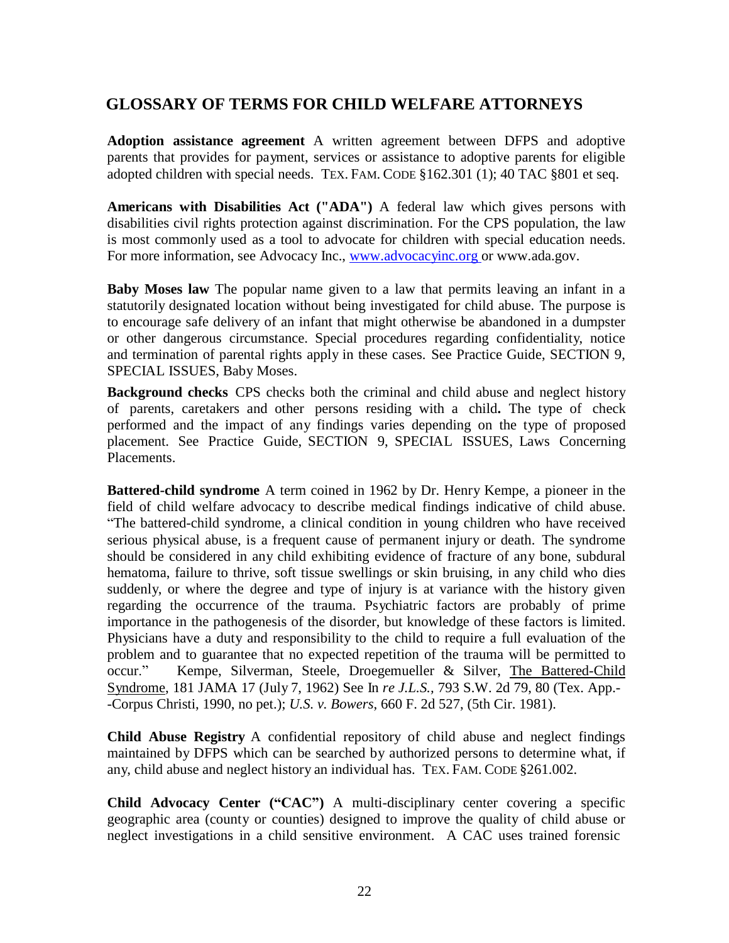## <span id="page-21-0"></span>**GLOSSARY OF TERMS FOR CHILD WELFARE ATTORNEYS**

**Adoption assistance agreement** A written agreement between DFPS and adoptive parents that provides for payment, services or assistance to adoptive parents for eligible adopted children with special needs. TEX. FAM. CODE §162.301 (1); 40 TAC §801 et seq.

**Americans with Disabilities Act ("ADA")** A federal law which gives persons with disabilities civil rights protection against discrimination. For the CPS population, the law is most commonly used as a tool to advocate for children with special education needs. For more information, see Advocacy Inc., [www.advocacyinc.org o](http://www.advocacyinc.org/)r [www.ada.gov.](http://www.ada.gov/)

**Baby Moses law** The popular name given to a law that permits leaving an infant in a statutorily designated location without being investigated for child abuse. The purpose is to encourage safe delivery of an infant that might otherwise be abandoned in a dumpster or other dangerous circumstance. Special procedures regarding confidentiality, notice and termination of parental rights apply in these cases. See Practice Guide, SECTION 9, SPECIAL ISSUES, Baby Moses.

**Background checks** CPS checks both the criminal and child abuse and neglect history of parents, caretakers and other persons residing with a child**.** The type of check performed and the impact of any findings varies depending on the type of proposed placement. See Practice Guide, SECTION 9, SPECIAL ISSUES, Laws Concerning Placements.

**Battered-child syndrome** A term coined in 1962 by Dr. Henry Kempe, a pioneer in the field of child welfare advocacy to describe medical findings indicative of child abuse. "The battered-child syndrome, a clinical condition in young children who have received serious physical abuse, is a frequent cause of permanent injury or death. The syndrome should be considered in any child exhibiting evidence of fracture of any bone, subdural hematoma, failure to thrive, soft tissue swellings or skin bruising, in any child who dies suddenly, or where the degree and type of injury is at variance with the history given regarding the occurrence of the trauma. Psychiatric factors are probably of prime importance in the pathogenesis of the disorder, but knowledge of these factors is limited. Physicians have a duty and responsibility to the child to require a full evaluation of the problem and to guarantee that no expected repetition of the trauma will be permitted to occur." Kempe, Silverman, Steele, Droegemueller & Silver, The Battered-Child Syndrome, 181 JAMA 17 (July 7, 1962) See In *re J.L.S.,* 793 S.W. 2d 79, 80 (Tex. App.- -Corpus Christi, 1990, no pet.); *U.S. v. Bowers*, 660 F. 2d 527, (5th Cir. 1981).

**Child Abuse Registry** A confidential repository of child abuse and neglect findings maintained by DFPS which can be searched by authorized persons to determine what, if any, child abuse and neglect history an individual has. TEX. FAM. CODE §261.002.

**Child Advocacy Center ("CAC")** A multi-disciplinary center covering a specific geographic area (county or counties) designed to improve the quality of child abuse or neglect investigations in a child sensitive environment. A CAC uses trained forensic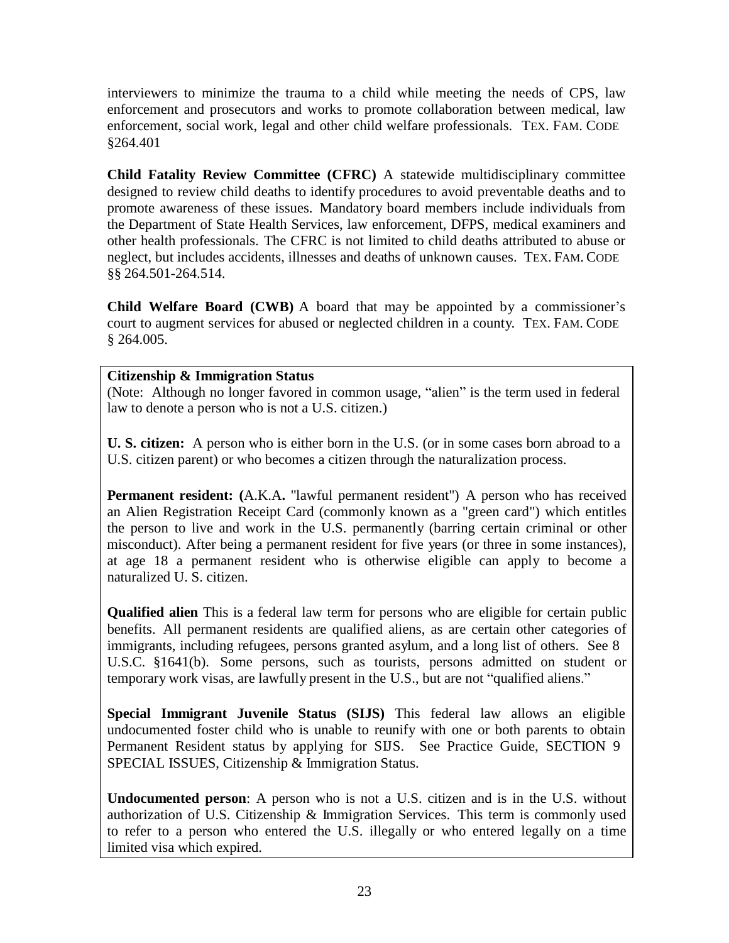interviewers to minimize the trauma to a child while meeting the needs of CPS, law enforcement and prosecutors and works to promote collaboration between medical, law enforcement, social work, legal and other child welfare professionals. TEX. FAM. CODE §264.401

**Child Fatality Review Committee (CFRC)** A statewide multidisciplinary committee designed to review child deaths to identify procedures to avoid preventable deaths and to promote awareness of these issues. Mandatory board members include individuals from the Department of State Health Services, law enforcement, DFPS, medical examiners and other health professionals. The CFRC is not limited to child deaths attributed to abuse or neglect, but includes accidents, illnesses and deaths of unknown causes. TEX. FAM. CODE §§ 264.501-264.514.

**Child Welfare Board (CWB)** A board that may be appointed by a commissioner's court to augment services for abused or neglected children in a county. TEX. FAM. CODE  $§$  264.005.

#### **Citizenship & Immigration Status**

(Note: Although no longer favored in common usage, "alien" is the term used in federal law to denote a person who is not a U.S. citizen.)

**U. S. citizen:** A person who is either born in the U.S. (or in some cases born abroad to a U.S. citizen parent) or who becomes a citizen through the naturalization process.

**Permanent resident: (**A.K.A**.** "lawful permanent resident") A person who has received an Alien Registration Receipt Card (commonly known as a "green card") which entitles the person to live and work in the U.S. permanently (barring certain criminal or other misconduct). After being a permanent resident for five years (or three in some instances), at age 18 a permanent resident who is otherwise eligible can apply to become a naturalized U. S. citizen.

**Qualified alien** This is a federal law term for persons who are eligible for certain public benefits. All permanent residents are qualified aliens, as are certain other categories of immigrants, including refugees, persons granted asylum, and a long list of others. See 8 U.S.C. §1641(b). Some persons, such as tourists, persons admitted on student or temporary work visas, are lawfully present in the U.S., but are not "qualified aliens."

**Special Immigrant Juvenile Status (SIJS)** This federal law allows an eligible undocumented foster child who is unable to reunify with one or both parents to obtain Permanent Resident status by applying for SIJS. See Practice Guide, SECTION 9 SPECIAL ISSUES, Citizenship & Immigration Status.

**Undocumented person**: A person who is not a U.S. citizen and is in the U.S. without authorization of U.S. Citizenship & Immigration Services. This term is commonly used to refer to a person who entered the U.S. illegally or who entered legally on a time limited visa which expired.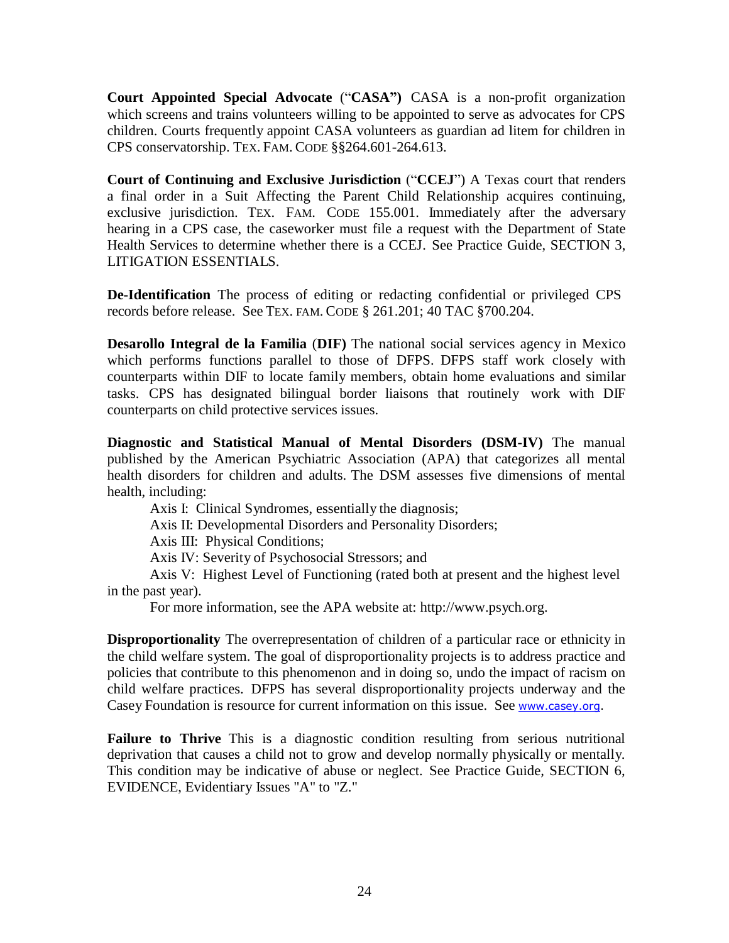**Court Appointed Special Advocate** ("**CASA")** CASA is a non-profit organization which screens and trains volunteers willing to be appointed to serve as advocates for CPS children. Courts frequently appoint CASA volunteers as guardian ad litem for children in CPS conservatorship. TEX. FAM. CODE §§264.601-264.613.

**Court of Continuing and Exclusive Jurisdiction** ("**CCEJ**") A Texas court that renders a final order in a Suit Affecting the Parent Child Relationship acquires continuing, exclusive jurisdiction. TEX. FAM. CODE 155.001. Immediately after the adversary hearing in a CPS case, the caseworker must file a request with the Department of State Health Services to determine whether there is a CCEJ. See Practice Guide, SECTION 3, LITIGATION ESSENTIALS.

**De-Identification** The process of editing or redacting confidential or privileged CPS records before release. See TEX. FAM. CODE § 261.201; 40 TAC §700.204.

**Desarollo Integral de la Familia** (**DIF)** The national social services agency in Mexico which performs functions parallel to those of DFPS. DFPS staff work closely with counterparts within DIF to locate family members, obtain home evaluations and similar tasks. CPS has designated bilingual border liaisons that routinely work with DIF counterparts on child protective services issues.

**Diagnostic and Statistical Manual of Mental Disorders (DSM-IV)** The manual published by the American Psychiatric Association (APA) that categorizes all mental health disorders for children and adults. The DSM assesses five dimensions of mental health, including:

Axis I: Clinical Syndromes, essentially the diagnosis;

Axis II: Developmental Disorders and Personality Disorders;

Axis III: Physical Conditions;

Axis IV: Severity of Psychosocial Stressors; and

Axis V: Highest Level of Functioning (rated both at present and the highest level in the past year).

For more information, see the APA website [at: http://www.psych.org.](http://www.psych.org/)

**Disproportionality** The overrepresentation of children of a particular race or ethnicity in the child welfare system. The goal of disproportionality projects is to address practice and policies that contribute to this phenomenon and in doing so, undo the impact of racism on child welfare practices. DFPS has several disproportionality projects underway and the Casey Foundation is resource for current information on this issue. See [www.casey.org.](http://www.casey.org/)

**Failure to Thrive** This is a diagnostic condition resulting from serious nutritional deprivation that causes a child not to grow and develop normally physically or mentally. This condition may be indicative of abuse or neglect. See Practice Guide*,* SECTION 6, EVIDENCE, Evidentiary Issues "A" to "Z."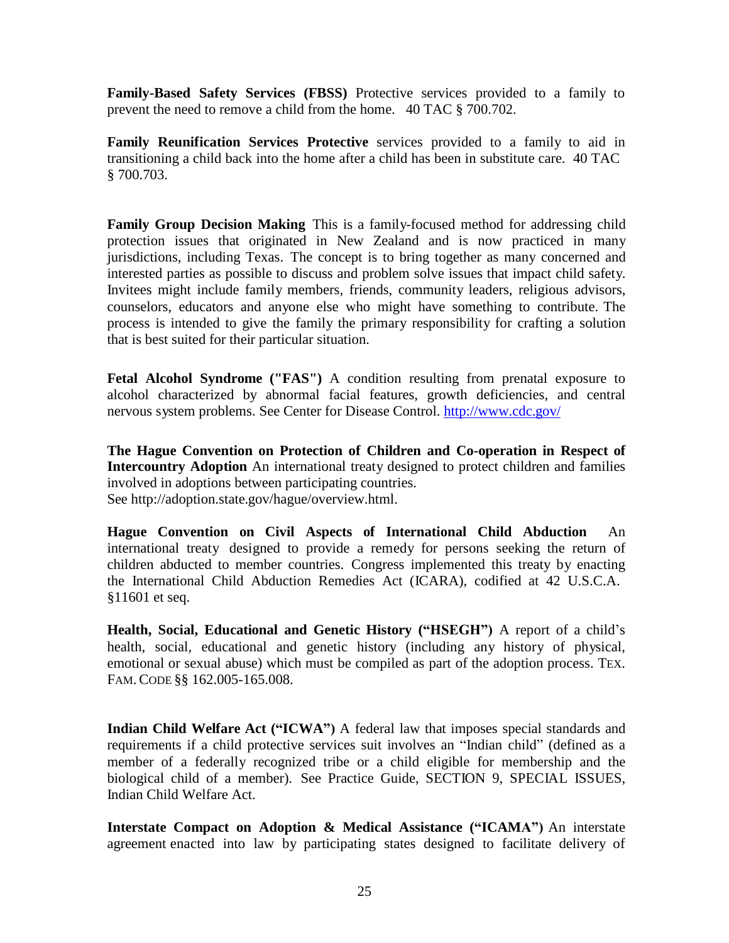**Family-Based Safety Services (FBSS)** Protective services provided to a family to prevent the need to remove a child from the home. 40 TAC § 700.702.

**Family Reunification Services Protective** services provided to a family to aid in transitioning a child back into the home after a child has been in substitute care. 40 TAC § 700.703.

**Family Group Decision Making** This is a family-focused method for addressing child protection issues that originated in New Zealand and is now practiced in many jurisdictions, including Texas. The concept is to bring together as many concerned and interested parties as possible to discuss and problem solve issues that impact child safety. Invitees might include family members, friends, community leaders, religious advisors, counselors, educators and anyone else who might have something to contribute. The process is intended to give the family the primary responsibility for crafting a solution that is best suited for their particular situation.

**Fetal Alcohol Syndrome ("FAS")** A condition resulting from prenatal exposure to alcohol characterized by abnormal facial features, growth deficiencies, and central nervous system problems. See Center for Disease Control.<http://www.cdc.gov/>

**The Hague Convention on Protection of Children and Co-operation in Respect of Intercountry Adoption** An international treaty designed to protect children and families involved in adoptions between participating countries. See [http://adoption.state.gov/hague/overview.html.](http://adoption.state.gov/hague/overview.html)

**Hague Convention on Civil Aspects of International Child Abduction** An international treaty designed to provide a remedy for persons seeking the return of children abducted to member countries. Congress implemented this treaty by enacting the International Child Abduction Remedies Act (ICARA), codified at 42 U.S.C.A. §11601 et seq.

**Health, Social, Educational and Genetic History ("HSEGH")** A report of a child's health, social, educational and genetic history (including any history of physical, emotional or sexual abuse) which must be compiled as part of the adoption process. TEX. FAM. CODE §§ 162.005-165.008.

**Indian Child Welfare Act ("ICWA")** A federal law that imposes special standards and requirements if a child protective services suit involves an "Indian child" (defined as a member of a federally recognized tribe or a child eligible for membership and the biological child of a member). See Practice Guide, SECTION 9, SPECIAL ISSUES, Indian Child Welfare Act.

**Interstate Compact on Adoption & Medical Assistance ("ICAMA")** An interstate agreement enacted into law by participating states designed to facilitate delivery of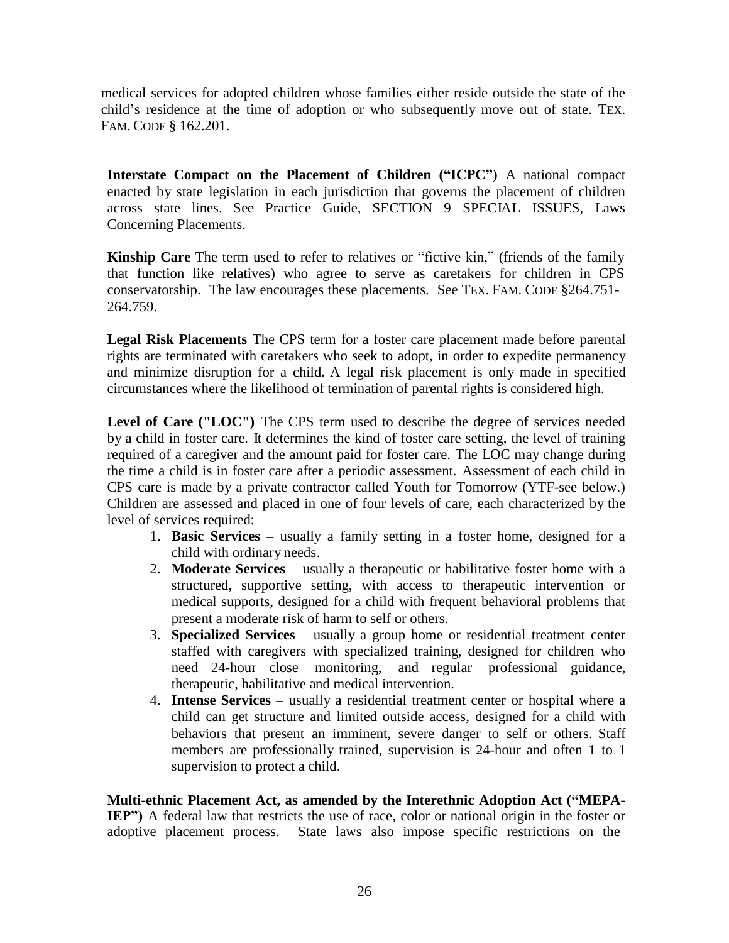medical services for adopted children whose families either reside outside the state of the child's residence at the time of adoption or who subsequently move out of state. TEX. FAM. CODE § 162.201.

**Interstate Compact on the Placement of Children ("ICPC")** A national compact enacted by state legislation in each jurisdiction that governs the placement of children across state lines. See Practice Guide, SECTION 9 SPECIAL ISSUES, Laws Concerning Placements.

**Kinship Care** The term used to refer to relatives or "fictive kin," (friends of the family that function like relatives) who agree to serve as caretakers for children in CPS conservatorship. The law encourages these placements. See TEX. FAM. CODE §264.751- 264.759.

**Legal Risk Placements** The CPS term for a foster care placement made before parental rights are terminated with caretakers who seek to adopt, in order to expedite permanency and minimize disruption for a child**.** A legal risk placement is only made in specified circumstances where the likelihood of termination of parental rights is considered high.

**Level of Care ("LOC")** The CPS term used to describe the degree of services needed by a child in foster care. It determines the kind of foster care setting, the level of training required of a caregiver and the amount paid for foster care. The LOC may change during the time a child is in foster care after a periodic assessment. Assessment of each child in CPS care is made by a private contractor called Youth for Tomorrow (YTF-see below.) Children are assessed and placed in one of four levels of care, each characterized by the level of services required:

- 1. **Basic Services** usually a family setting in a foster home, designed for a child with ordinary needs.
- 2. **Moderate Services** usually a therapeutic or habilitative foster home with a structured, supportive setting, with access to therapeutic intervention or medical supports, designed for a child with frequent behavioral problems that present a moderate risk of harm to self or others.
- 3. **Specialized Services** usually a group home or residential treatment center staffed with caregivers with specialized training, designed for children who need 24-hour close monitoring, and regular professional guidance, therapeutic, habilitative and medical intervention.
- 4. **Intense Services** usually a residential treatment center or hospital where a child can get structure and limited outside access, designed for a child with behaviors that present an imminent, severe danger to self or others. Staff members are professionally trained, supervision is 24-hour and often 1 to 1 supervision to protect a child.

**Multi-ethnic Placement Act, as amended by the Interethnic Adoption Act ("MEPA-IEP")** A federal law that restricts the use of race, color or national origin in the foster or adoptive placement process. State laws also impose specific restrictions on the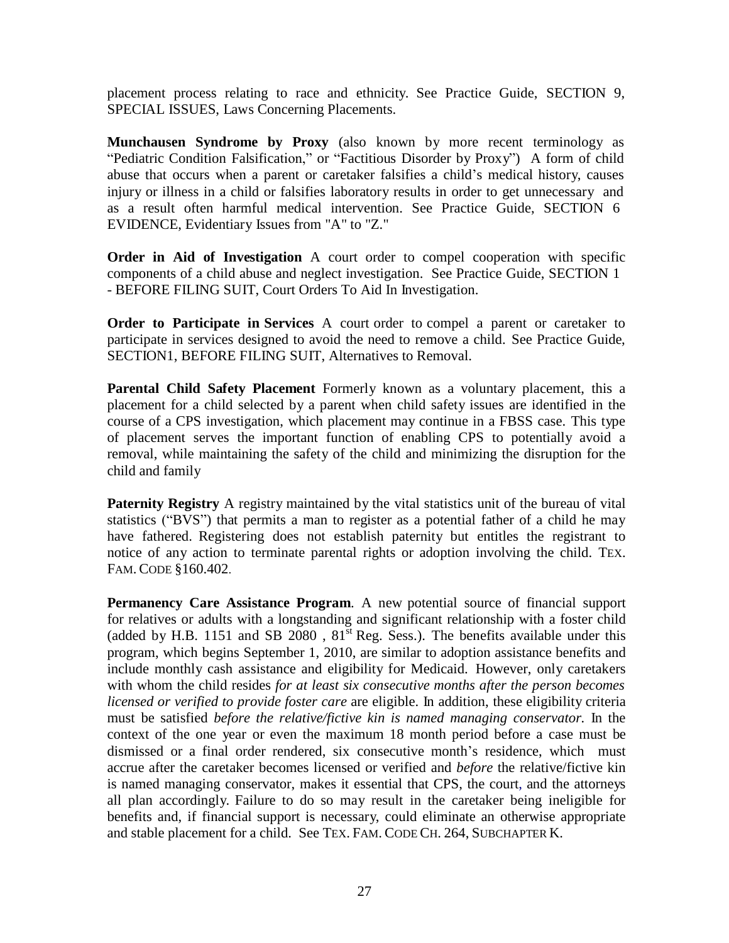placement process relating to race and ethnicity. See Practice Guide, SECTION 9, SPECIAL ISSUES, Laws Concerning Placements.

**Munchausen Syndrome by Proxy** (also known by more recent terminology as "Pediatric Condition Falsification," or "Factitious Disorder by Proxy") A form of child abuse that occurs when a parent or caretaker falsifies a child's medical history, causes injury or illness in a child or falsifies laboratory results in order to get unnecessary and as a result often harmful medical intervention. See Practice Guide, SECTION 6 EVIDENCE, Evidentiary Issues from "A" to "Z."

**Order in Aid of Investigation** A court order to compel cooperation with specific components of a child abuse and neglect investigation. See Practice Guide, SECTION 1 - BEFORE FILING SUIT, Court Orders To Aid In Investigation.

**Order to Participate in Services** A court order to compel a parent or caretaker to participate in services designed to avoid the need to remove a child. See Practice Guide, SECTION1, BEFORE FILING SUIT, Alternatives to Removal.

**Parental Child Safety Placement** Formerly known as a voluntary placement, this a placement for a child selected by a parent when child safety issues are identified in the course of a CPS investigation, which placement may continue in a FBSS case. This type of placement serves the important function of enabling CPS to potentially avoid a removal, while maintaining the safety of the child and minimizing the disruption for the child and family

**Paternity Registry** A registry maintained by the vital statistics unit of the bureau of vital statistics ("BVS") that permits a man to register as a potential father of a child he may have fathered. Registering does not establish paternity but entitles the registrant to notice of any action to terminate parental rights or adoption involving the child. TEX. FAM. CODE §160.402.

**Permanency Care Assistance Program**. A new potential source of financial support for relatives or adults with a longstanding and significant relationship with a foster child (added by H.B. 1151 and SB  $2080$ ,  $81^{st}$  Reg. Sess.). The benefits available under this program, which begins September 1, 2010, are similar to adoption assistance benefits and include monthly cash assistance and eligibility for Medicaid. However, only caretakers with whom the child resides *for at least six consecutive months after the person becomes licensed or verified to provide foster care* are eligible. In addition, these eligibility criteria must be satisfied *before the relative/fictive kin is named managing conservator.* In the context of the one year or even the maximum 18 month period before a case must be dismissed or a final order rendered, six consecutive month's residence, which must accrue after the caretaker becomes licensed or verified and *before* the relative/fictive kin is named managing conservator, makes it essential that CPS, the court, and the attorneys all plan accordingly. Failure to do so may result in the caretaker being ineligible for benefits and, if financial support is necessary, could eliminate an otherwise appropriate and stable placement for a child. See TEX. FAM. CODE CH. 264, SUBCHAPTER K.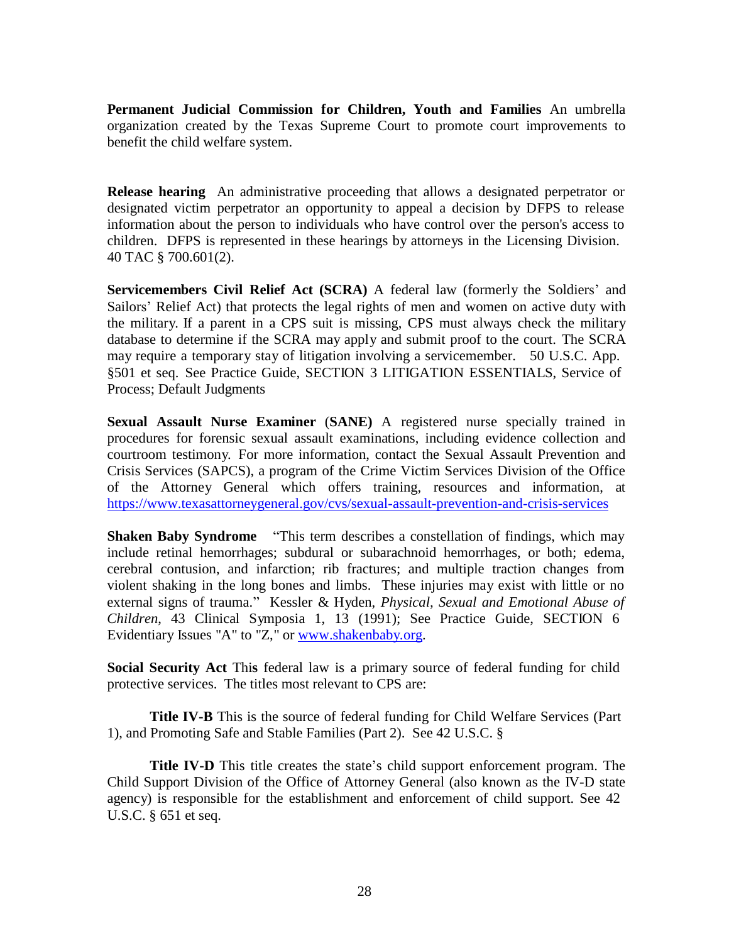**Permanent Judicial Commission for Children, Youth and Families** An umbrella organization created by the Texas Supreme Court to promote court improvements to benefit the child welfare system.

**Release hearing** An administrative proceeding that allows a designated perpetrator or designated victim perpetrator an opportunity to appeal a decision by DFPS to release information about the person to individuals who have control over the person's access to children. DFPS is represented in these hearings by attorneys in the Licensing Division. 40 TAC § 700.601(2).

**Servicemembers Civil Relief Act (SCRA)** A federal law (formerly the Soldiers' and Sailors' Relief Act) that protects the legal rights of men and women on active duty with the military. If a parent in a CPS suit is missing, CPS must always check the military database to determine if the SCRA may apply and submit proof to the court. The SCRA may require a temporary stay of litigation involving a servicemember. 50 U.S.C. App. §501 et seq. See Practice Guide, SECTION 3 LITIGATION ESSENTIALS, Service of Process; Default Judgments

**Sexual Assault Nurse Examiner** (**SANE)** A registered nurse specially trained in procedures for forensic sexual assault examinations, including evidence collection and courtroom testimony. For more information, contact the Sexual Assault Prevention and Crisis Services (SAPCS), a program of the Crime Victim Services Division of the Office of the Attorney General which offers training, resources and information, at <https://www.texasattorneygeneral.gov/cvs/sexual-assault-prevention-and-crisis-services>

**Shaken Baby Syndrome** "This term describes a constellation of findings, which may include retinal hemorrhages; subdural or subarachnoid hemorrhages, or both; edema, cerebral contusion, and infarction; rib fractures; and multiple traction changes from violent shaking in the long bones and limbs. These injuries may exist with little or no external signs of trauma." Kessler & Hyden, *Physical, Sexual and Emotional Abuse of Children*, 43 Clinical Symposia 1, 13 (1991); See Practice Guide, SECTION 6 Evidentiary Issues "A" to "Z," or [www.shakenbaby.org.](http://www.shakenbaby.org/)

**Social Security Act** Thi**s** federal law is a primary source of federal funding for child protective services. The titles most relevant to CPS are:

**Title IV-B** This is the source of federal funding for Child Welfare Services (Part 1), and Promoting Safe and Stable Families (Part 2). See 42 U.S.C. §

**Title IV-D** This title creates the state's child support enforcement program. The Child Support Division of the Office of Attorney General (also known as the IV-D state agency) is responsible for the establishment and enforcement of child support. See 42 U.S.C. § 651 et seq.